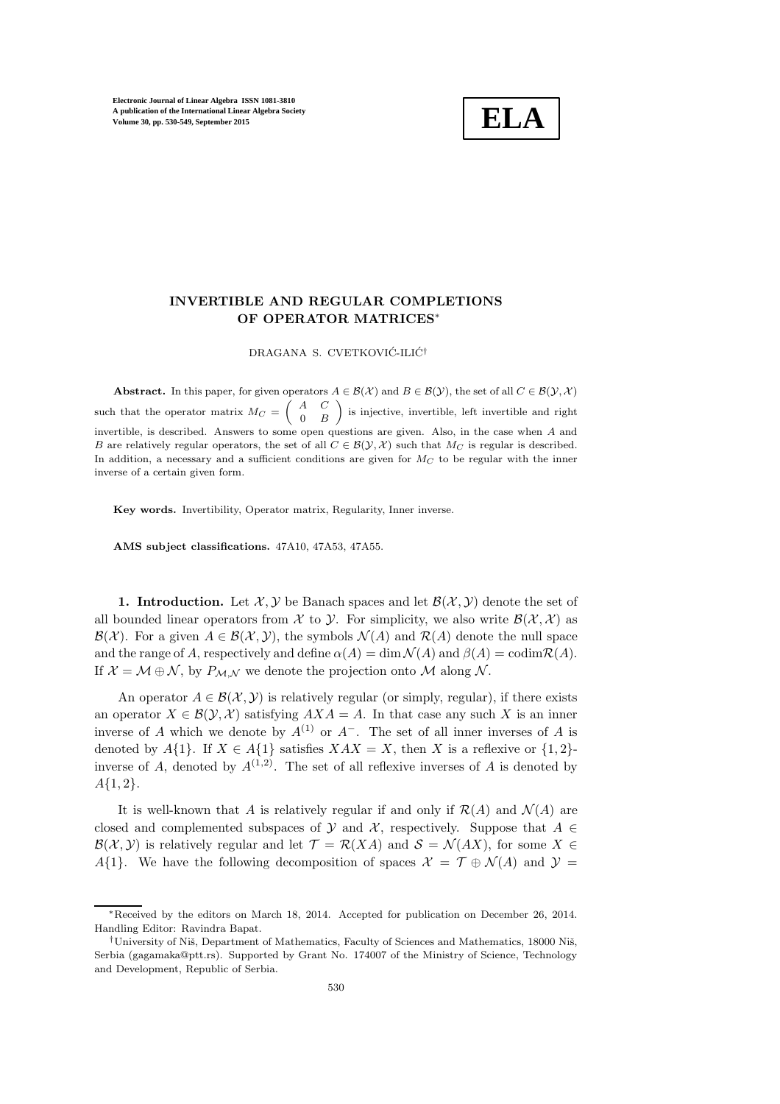

# INVERTIBLE AND REGULAR COMPLETIONS OF OPERATOR MATRICES<sup>∗</sup>

DRAGANA S. CVETKOVIĆ-ILIĆ<sup>†</sup>

Abstract. In this paper, for given operators  $A \in \mathcal{B}(\mathcal{X})$  and  $B \in \mathcal{B}(\mathcal{Y})$ , the set of all  $C \in \mathcal{B}(\mathcal{Y}, \mathcal{X})$ such that the operator matrix  $M_C = \begin{pmatrix} A & C \\ 0 & B \end{pmatrix}$  $0 \quad B$ is injective, invertible, left invertible and right invertible, is described. Answers to some open questions are given. Also, in the case when A and B are relatively regular operators, the set of all  $C \in \mathcal{B}(\mathcal{Y}, \mathcal{X})$  such that  $M_C$  is regular is described. In addition, a necessary and a sufficient conditions are given for  $M_C$  to be regular with the inner inverse of a certain given form.

Key words. Invertibility, Operator matrix, Regularity, Inner inverse.

AMS subject classifications. 47A10, 47A53, 47A55.

1. Introduction. Let  $\mathcal{X}, \mathcal{Y}$  be Banach spaces and let  $\mathcal{B}(\mathcal{X}, \mathcal{Y})$  denote the set of all bounded linear operators from X to Y. For simplicity, we also write  $\mathcal{B}(\mathcal{X},\mathcal{X})$  as  $\mathcal{B}(\mathcal{X})$ . For a given  $A \in \mathcal{B}(\mathcal{X}, \mathcal{Y})$ , the symbols  $\mathcal{N}(A)$  and  $\mathcal{R}(A)$  denote the null space and the range of A, respectively and define  $\alpha(A) = \dim \mathcal{N}(A)$  and  $\beta(A) = \text{codim} \mathcal{R}(A)$ . If  $\mathcal{X} = \mathcal{M} \oplus \mathcal{N}$ , by  $P_{\mathcal{M},\mathcal{N}}$  we denote the projection onto  $\mathcal{M}$  along  $\mathcal{N}$ .

An operator  $A \in \mathcal{B}(\mathcal{X}, \mathcal{Y})$  is relatively regular (or simply, regular), if there exists an operator  $X \in \mathcal{B}(\mathcal{Y}, \mathcal{X})$  satisfying  $AX A = A$ . In that case any such X is an inner inverse of A which we denote by  $A^{(1)}$  or  $A^-$ . The set of all inner inverses of A is denoted by  $A\{1\}$ . If  $X \in A\{1\}$  satisfies  $XAX = X$ , then X is a reflexive or  $\{1,2\}$ inverse of A, denoted by  $A^{(1,2)}$ . The set of all reflexive inverses of A is denoted by  $A\{1,2\}.$ 

It is well-known that A is relatively regular if and only if  $\mathcal{R}(A)$  and  $\mathcal{N}(A)$  are closed and complemented subspaces of Y and X, respectively. Suppose that  $A \in$  $\mathcal{B}(\mathcal{X}, \mathcal{Y})$  is relatively regular and let  $\mathcal{T} = \mathcal{R}(XA)$  and  $\mathcal{S} = \mathcal{N}(AX)$ , for some  $X \in$ A{1}. We have the following decomposition of spaces  $\mathcal{X} = \mathcal{T} \oplus \mathcal{N}(A)$  and  $\mathcal{Y} =$ 

<sup>∗</sup>Received by the editors on March 18, 2014. Accepted for publication on December 26, 2014. Handling Editor: Ravindra Bapat.

<sup>&</sup>lt;sup>†</sup>University of Niš, Department of Mathematics, Faculty of Sciences and Mathematics, 18000 Niš, Serbia (gagamaka@ptt.rs). Supported by Grant No. 174007 of the Ministry of Science, Technology and Development, Republic of Serbia.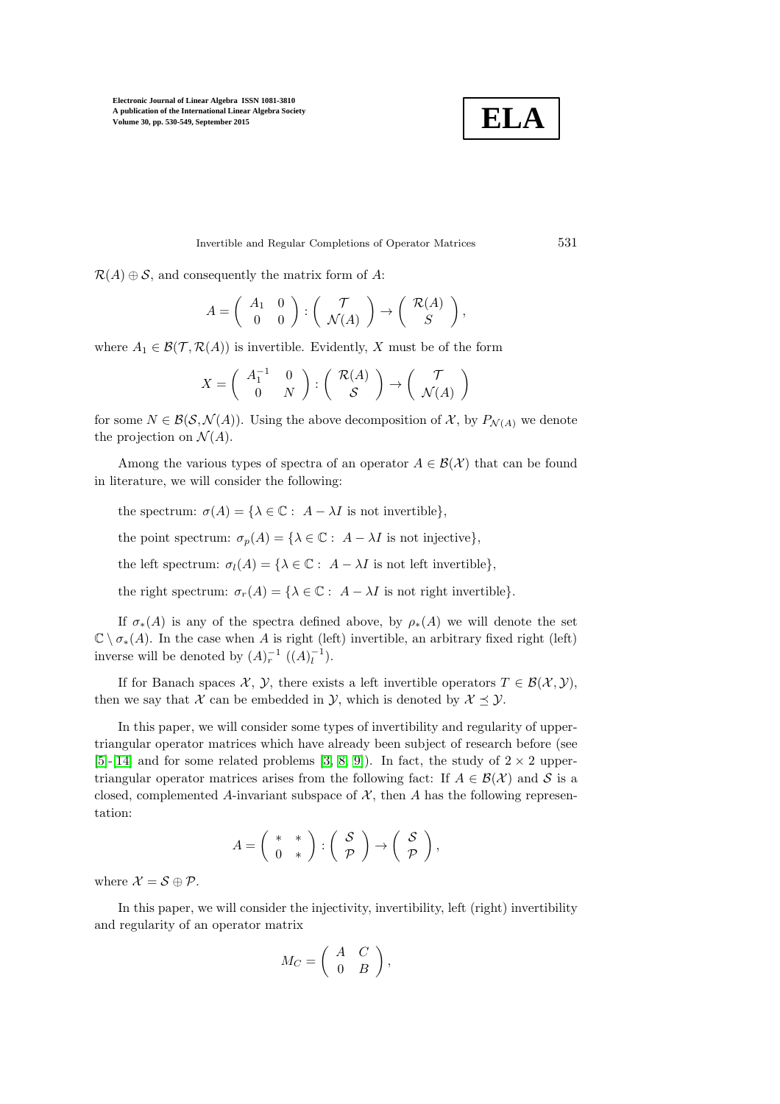

Invertible and Regular Completions of Operator Matrices 531

 $\mathcal{R}(A) \oplus \mathcal{S}$ , and consequently the matrix form of A:

$$
A = \left(\begin{array}{cc} A_1 & 0 \\ 0 & 0 \end{array}\right) : \left(\begin{array}{c} \mathcal{T} \\ \mathcal{N}(A) \end{array}\right) \rightarrow \left(\begin{array}{c} \mathcal{R}(A) \\ S \end{array}\right),
$$

where  $A_1 \in \mathcal{B}(\mathcal{T}, \mathcal{R}(A))$  is invertible. Evidently, X must be of the form

$$
X = \left(\begin{array}{cc} A_1^{-1} & 0\\ 0 & N \end{array}\right) : \left(\begin{array}{c} \mathcal{R}(A) \\ \mathcal{S} \end{array}\right) \to \left(\begin{array}{c} \mathcal{T} \\ \mathcal{N}(A) \end{array}\right)
$$

for some  $N \in \mathcal{B}(\mathcal{S}, \mathcal{N}(A))$ . Using the above decomposition of X, by  $P_{\mathcal{N}(A)}$  we denote the projection on  $\mathcal{N}(A)$ .

Among the various types of spectra of an operator  $A \in \mathcal{B}(\mathcal{X})$  that can be found in literature, we will consider the following:

the spectrum:  $\sigma(A) = \{ \lambda \in \mathbb{C} : A - \lambda I \text{ is not invertible} \},\$ 

the point spectrum:  $\sigma_p(A) = {\lambda \in \mathbb{C} : A - \lambda I \text{ is not injective}}$ ,

the left spectrum:  $\sigma_l(A) = \{ \lambda \in \mathbb{C} : A - \lambda I \text{ is not left invertible} \},\$ 

the right spectrum:  $\sigma_r(A) = \{\lambda \in \mathbb{C} : A - \lambda I \text{ is not right invertible}\}.$ 

If  $\sigma_*(A)$  is any of the spectra defined above, by  $\rho_*(A)$  we will denote the set  $\mathbb{C} \setminus \sigma_*(A)$ . In the case when A is right (left) invertible, an arbitrary fixed right (left) inverse will be denoted by  $(A)_r^{-1}$   $((A)_l^{-1})$ .

If for Banach spaces  $\mathcal{X}, \mathcal{Y},$  there exists a left invertible operators  $T \in \mathcal{B}(\mathcal{X}, \mathcal{Y}),$ then we say that X can be embedded in Y, which is denoted by  $\mathcal{X} \preceq \mathcal{Y}$ .

In this paper, we will consider some types of invertibility and regularity of uppertriangular operator matrices which have already been subject of research before (see [\[5\]](#page-19-0)-[\[14\]](#page-19-1) and for some related problems [\[3,](#page-19-2) [8,](#page-19-3) [9\]](#page-19-4)). In fact, the study of  $2 \times 2$  uppertriangular operator matrices arises from the following fact: If  $A \in \mathcal{B}(\mathcal{X})$  and S is a closed, complemented A-invariant subspace of  $X$ , then A has the following representation:

$$
A = \left(\begin{array}{cc} * & * \\ 0 & * \end{array}\right) : \left(\begin{array}{c} S \\ \mathcal{P} \end{array}\right) \rightarrow \left(\begin{array}{c} S \\ \mathcal{P} \end{array}\right),
$$

where  $\mathcal{X} = \mathcal{S} \oplus \mathcal{P}$ .

In this paper, we will consider the injectivity, invertibility, left (right) invertibility and regularity of an operator matrix

$$
M_C = \left( \begin{array}{cc} A & C \\ 0 & B \end{array} \right),
$$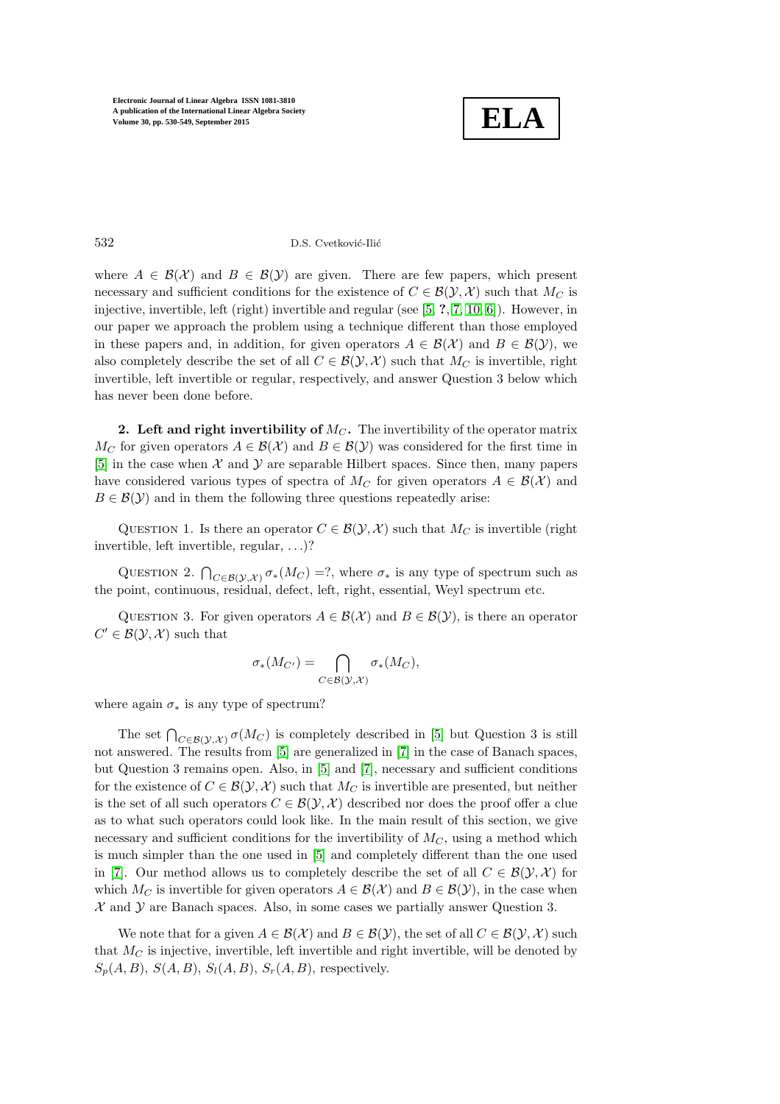

### 532 D.S. Cvetković-Ilić

where  $A \in \mathcal{B}(\mathcal{X})$  and  $B \in \mathcal{B}(\mathcal{Y})$  are given. There are few papers, which present necessary and sufficient conditions for the existence of  $C \in \mathcal{B}(\mathcal{Y}, \mathcal{X})$  such that  $M_C$  is injective, invertible, left (right) invertible and regular (see [\[5,](#page-19-0) ?, [7,](#page-19-5) [10,](#page-19-6) [6\]](#page-19-7)). However, in our paper we approach the problem using a technique different than those employed in these papers and, in addition, for given operators  $A \in \mathcal{B}(\mathcal{X})$  and  $B \in \mathcal{B}(\mathcal{Y})$ , we also completely describe the set of all  $C \in \mathcal{B}(\mathcal{Y}, \mathcal{X})$  such that  $M_C$  is invertible, right invertible, left invertible or regular, respectively, and answer Question 3 below which has never been done before.

2. Left and right invertibility of  $M_C$ . The invertibility of the operator matrix  $M_C$  for given operators  $A \in \mathcal{B}(\mathcal{X})$  and  $B \in \mathcal{B}(\mathcal{Y})$  was considered for the first time in  $[5]$  in the case when X and Y are separable Hilbert spaces. Since then, many papers have considered various types of spectra of  $M_C$  for given operators  $A \in \mathcal{B}(\mathcal{X})$  and  $B \in \mathcal{B}(\mathcal{Y})$  and in them the following three questions repeatedly arise:

QUESTION 1. Is there an operator  $C \in \mathcal{B}(\mathcal{Y}, \mathcal{X})$  such that  $M_C$  is invertible (right invertible, left invertible, regular, . . .)?

QUESTION 2.  $\bigcap_{C \in \mathcal{B}(\mathcal{Y},\mathcal{X})} \sigma_*(M_C) = ?$ , where  $\sigma_*$  is any type of spectrum such as the point, continuous, residual, defect, left, right, essential, Weyl spectrum etc.

QUESTION 3. For given operators  $A \in \mathcal{B}(\mathcal{X})$  and  $B \in \mathcal{B}(\mathcal{Y})$ , is there an operator  $C' \in \mathcal{B}(\mathcal{Y}, \mathcal{X})$  such that

$$
\sigma_*(M_{C'}) = \bigcap_{C \in \mathcal{B}(\mathcal{Y},\mathcal{X})} \sigma_*(M_C),
$$

where again  $\sigma_*$  is any type of spectrum?

The set  $\bigcap_{C \in \mathcal{B}(\mathcal{Y},\mathcal{X})} \sigma(M_C)$  is completely described in [\[5\]](#page-19-0) but Question 3 is still not answered. The results from [\[5\]](#page-19-0) are generalized in [\[7\]](#page-19-5) in the case of Banach spaces, but Question 3 remains open. Also, in [\[5\]](#page-19-0) and [\[7\]](#page-19-5), necessary and sufficient conditions for the existence of  $C \in \mathcal{B}(\mathcal{Y}, \mathcal{X})$  such that  $M_C$  is invertible are presented, but neither is the set of all such operators  $C \in \mathcal{B}(\mathcal{Y}, \mathcal{X})$  described nor does the proof offer a clue as to what such operators could look like. In the main result of this section, we give necessary and sufficient conditions for the invertibility of  $M<sub>C</sub>$ , using a method which is much simpler than the one used in [\[5\]](#page-19-0) and completely different than the one used in [\[7\]](#page-19-5). Our method allows us to completely describe the set of all  $C \in \mathcal{B}(\mathcal{Y}, \mathcal{X})$  for which  $M_C$  is invertible for given operators  $A \in \mathcal{B}(\mathcal{X})$  and  $B \in \mathcal{B}(\mathcal{Y})$ , in the case when  $X$  and  $Y$  are Banach spaces. Also, in some cases we partially answer Question 3.

We note that for a given  $A \in \mathcal{B}(\mathcal{X})$  and  $B \in \mathcal{B}(\mathcal{Y})$ , the set of all  $C \in \mathcal{B}(\mathcal{Y}, \mathcal{X})$  such that  $M<sub>C</sub>$  is injective, invertible, left invertible and right invertible, will be denoted by  $S_p(A, B), S(A, B), S_l(A, B), S_r(A, B)$ , respectively.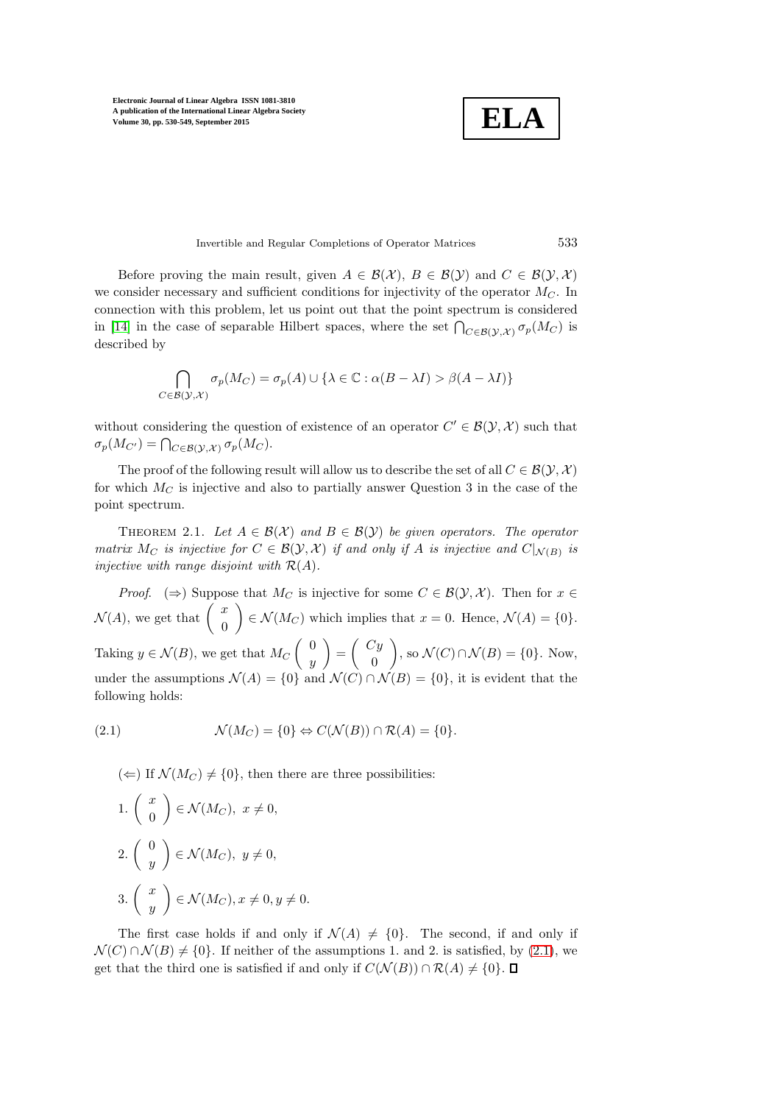**ELA**

Invertible and Regular Completions of Operator Matrices 533

Before proving the main result, given  $A \in \mathcal{B}(\mathcal{X}), B \in \mathcal{B}(\mathcal{Y})$  and  $C \in \mathcal{B}(\mathcal{Y}, \mathcal{X})$ we consider necessary and sufficient conditions for injectivity of the operator  $M_C$ . In connection with this problem, let us point out that the point spectrum is considered in [\[14\]](#page-19-1) in the case of separable Hilbert spaces, where the set  $\bigcap_{C \in \mathcal{B}(\mathcal{Y},\mathcal{X})} \sigma_p(M_C)$  is described by

$$
\bigcap_{C \in \mathcal{B}(\mathcal{Y},\mathcal{X})} \sigma_p(M_C) = \sigma_p(A) \cup \{\lambda \in \mathbb{C} : \alpha(B - \lambda I) > \beta(A - \lambda I)\}
$$

without considering the question of existence of an operator  $C' \in \mathcal{B}(\mathcal{Y}, \mathcal{X})$  such that  $\sigma_p(M_{C'}) = \bigcap_{C \in \mathcal{B}(\mathcal{Y},\mathcal{X})} \sigma_p(M_C).$ 

The proof of the following result will allow us to describe the set of all  $C \in \mathcal{B}(\mathcal{Y}, \mathcal{X})$ for which  $M_C$  is injective and also to partially answer Question 3 in the case of the point spectrum.

THEOREM 2.1. *Let*  $A \in \mathcal{B}(\mathcal{X})$  *and*  $B \in \mathcal{B}(\mathcal{Y})$  *be given operators. The operator matrix*  $M_C$  *is injective for*  $C \in \mathcal{B}(\mathcal{Y}, \mathcal{X})$  *if and only if* A *is injective and*  $C|_{\mathcal{N}(B)}$  *is injective with range disjoint with* R(A)*.*

*Proof.* ( $\Rightarrow$ ) Suppose that M<sub>C</sub> is injective for some  $C \in \mathcal{B}(\mathcal{Y}, \mathcal{X})$ . Then for  $x \in \mathcal{B}(\mathcal{Y}, \mathcal{X})$ .  $\mathcal{N}(A)$ , we get that  $\begin{pmatrix} x \\ 0 \end{pmatrix}$  $\theta$  $\Big\} \in \mathcal{N}(M_C)$  which implies that  $x = 0$ . Hence,  $\mathcal{N}(A) = \{0\}.$ Taking  $y \in \mathcal{N}(B)$ , we get that  $M_C \begin{pmatrix} 0 \\ 0 \end{pmatrix}$  $\hat{y}$  $=\left(\begin{array}{c} Cy \\ 0 \end{array}\right)$  $\theta$  $\Big),$  so  $\mathcal{N}(C) \cap \mathcal{N}(B) = \{0\}.$  Now, under the assumptions  $\mathcal{N}(A) = \{0\}$  and  $\mathcal{N}(C) \cap \mathcal{N}(B) = \{0\}$ , it is evident that the following holds:

(2.1) 
$$
\mathcal{N}(M_C) = \{0\} \Leftrightarrow C(\mathcal{N}(B)) \cap \mathcal{R}(A) = \{0\}.
$$

<span id="page-3-0"></span> $(\Leftarrow)$  If  $\mathcal{N}(M_C) \neq \{0\}$ , then there are three possibilities:

1. 
$$
\begin{pmatrix} x \\ 0 \end{pmatrix} \in \mathcal{N}(M_C), x \neq 0,
$$
  
\n2.  $\begin{pmatrix} 0 \\ y \end{pmatrix} \in \mathcal{N}(M_C), y \neq 0,$   
\n3.  $\begin{pmatrix} x \\ y \end{pmatrix} \in \mathcal{N}(M_C), x \neq 0, y \neq 0.$ 

The first case holds if and only if  $\mathcal{N}(A) \neq \{0\}$ . The second, if and only if  $\mathcal{N}(C) \cap \mathcal{N}(B) \neq \{0\}.$  If neither of the assumptions 1. and 2. is satisfied, by (2.[1\)](#page-3-0), we get that the third one is satisfied if and only if  $C(\mathcal{N}(B)) \cap \mathcal{R}(A) \neq \{0\}$ .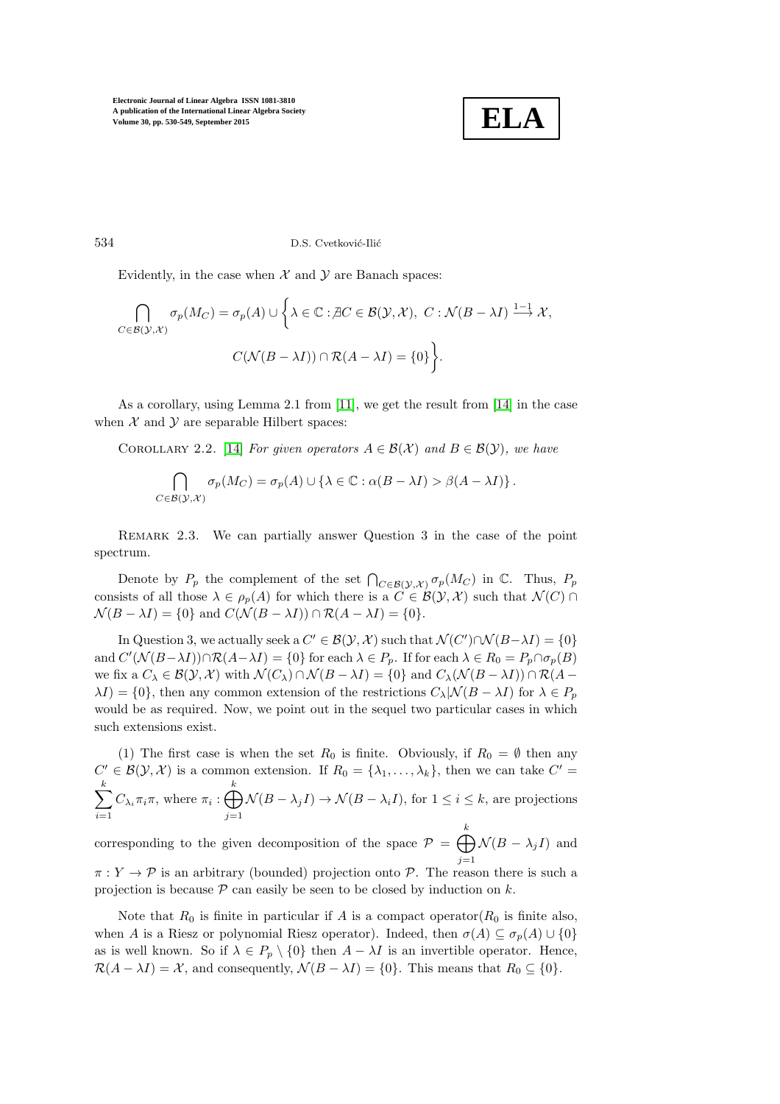

534 D.S. Cvetković-Ilić

Evidently, in the case when  $X$  and  $Y$  are Banach spaces:

$$
\bigcap_{C \in \mathcal{B}(\mathcal{Y},\mathcal{X})} \sigma_p(M_C) = \sigma_p(A) \cup \left\{ \lambda \in \mathbb{C} : \nexists C \in \mathcal{B}(\mathcal{Y},\mathcal{X}), \ C : \mathcal{N}(B - \lambda I) \xrightarrow{1-1} \mathcal{X}, \right\}
$$
\n
$$
C(\mathcal{N}(B - \lambda I)) \cap \mathcal{R}(A - \lambda I) = \{0\} \right\}.
$$

As a corollary, using Lemma 2.1 from [\[11\]](#page-19-8), we get the result from [\[14\]](#page-19-1) in the case when  $X$  and  $Y$  are separable Hilbert spaces:

COROLLARY 2.2. [\[14\]](#page-19-1) *For given operators*  $A \in \mathcal{B}(\mathcal{X})$  *and*  $B \in \mathcal{B}(\mathcal{Y})$ *, we have* 

$$
\bigcap_{C \in \mathcal{B}(\mathcal{Y},\mathcal{X})} \sigma_p(M_C) = \sigma_p(A) \cup \{ \lambda \in \mathbb{C} : \alpha(B - \lambda I) > \beta(A - \lambda I) \}.
$$

<span id="page-4-0"></span>Remark 2.3. We can partially answer Question 3 in the case of the point spectrum.

Denote by  $P_p$  the complement of the set  $\bigcap_{C \in \mathcal{B}(\mathcal{Y},\mathcal{X})} \sigma_p(M_C)$  in  $\mathbb{C}$ . Thus,  $P_p$ consists of all those  $\lambda \in \rho_p(A)$  for which there is a  $C \in \mathcal{B}(\mathcal{Y}, \mathcal{X})$  such that  $\mathcal{N}(C) \cap$  $\mathcal{N}(B - \lambda I) = \{0\}$  and  $C(\mathcal{N}(B - \lambda I)) \cap \mathcal{R}(A - \lambda I) = \{0\}.$ 

In Question 3, we actually seek a  $C' \in \mathcal{B}(\mathcal{Y}, \mathcal{X})$  such that  $\mathcal{N}(C') \cap \mathcal{N}(B - \lambda I) = \{0\}$ and  $C'(\mathcal{N}(B-\lambda I)) \cap \mathcal{R}(A-\lambda I) = \{0\}$  for each  $\lambda \in P_p$ . If for each  $\lambda \in R_0 = P_p \cap \sigma_p(B)$ we fix a  $C_\lambda \in \mathcal{B}(\mathcal{Y}, \mathcal{X})$  with  $\mathcal{N}(C_\lambda) \cap \mathcal{N}(B - \lambda I) = \{0\}$  and  $C_\lambda(\mathcal{N}(B - \lambda I)) \cap \mathcal{R}(A - \lambda I)$  $\lambda I$ ) = {0}, then any common extension of the restrictions  $C_{\lambda}$ |N $(B - \lambda I)$  for  $\lambda \in P_p$ would be as required. Now, we point out in the sequel two particular cases in which such extensions exist.

(1) The first case is when the set  $R_0$  is finite. Obviously, if  $R_0 = \emptyset$  then any  $C' \in \mathcal{B}(\mathcal{Y}, \mathcal{X})$  is a common extension. If  $R_0 = {\lambda_1, ..., \lambda_k}$ , then we can take  $C' =$  $\sum$ k  $i=1$  $C_{\lambda_i}\pi_i\pi$ , where  $\pi_i:\bigoplus$ k  $j=1$  $\mathcal{N}(B - \lambda_j I) \to \mathcal{N}(B - \lambda_i I)$ , for  $1 \leq i \leq k$ , are projections

corresponding to the given decomposition of the space  $\mathcal{P} = \bigoplus$ k  $j=1$  $\mathcal{N}(B-\lambda_j I)$  and  $\pi: Y \to \mathcal{P}$  is an arbitrary (bounded) projection onto  $\mathcal{P}$ . The reason there is such a projection is because  $P$  can easily be seen to be closed by induction on k.

Note that  $R_0$  is finite in particular if A is a compact operator( $R_0$  is finite also, when A is a Riesz or polynomial Riesz operator). Indeed, then  $\sigma(A) \subseteq \sigma_p(A) \cup \{0\}$ as is well known. So if  $\lambda \in P_p \setminus \{0\}$  then  $A - \lambda I$  is an invertible operator. Hence,  $\mathcal{R}(A - \lambda I) = \mathcal{X}$ , and consequently,  $\mathcal{N}(B - \lambda I) = \{0\}$ . This means that  $R_0 \subseteq \{0\}$ .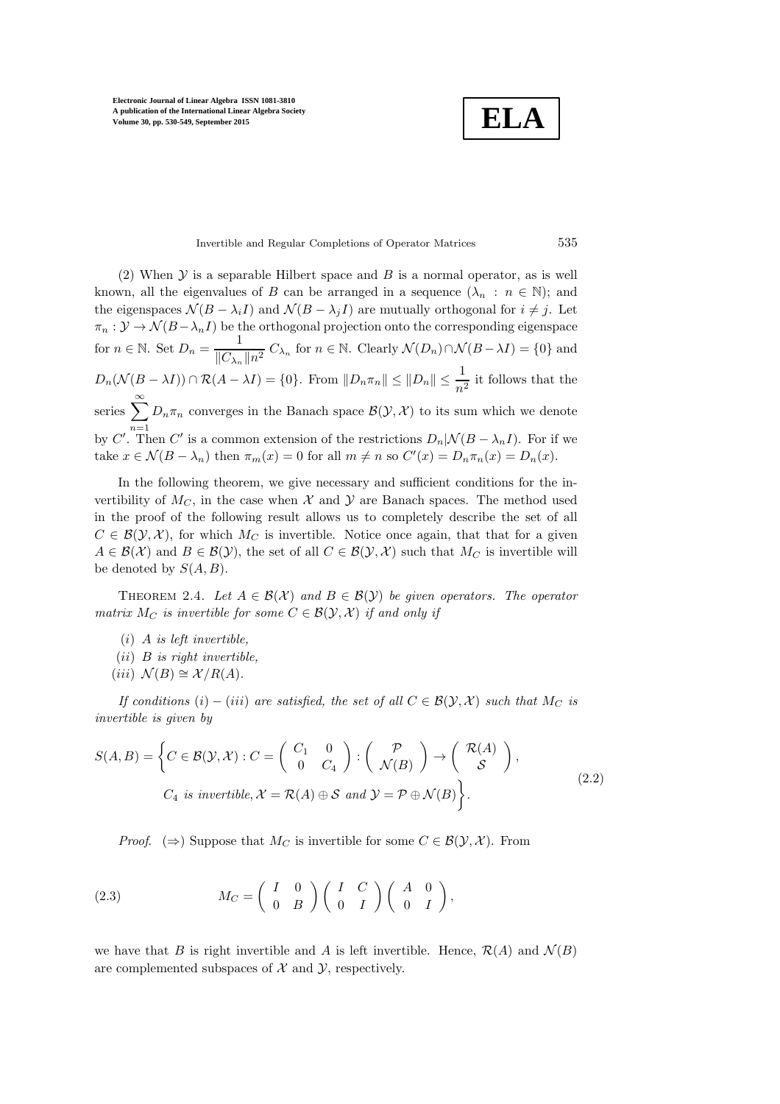**ELA**

#### Invertible and Regular Completions of Operator Matrices 535

(2) When  $\mathcal Y$  is a separable Hilbert space and  $B$  is a normal operator, as is well known, all the eigenvalues of B can be arranged in a sequence  $(\lambda_n : n \in \mathbb{N})$ ; and the eigenspaces  $\mathcal{N}(B - \lambda_i I)$  and  $\mathcal{N}(B - \lambda_i I)$  are mutually orthogonal for  $i \neq j$ . Let  $\pi_n : \mathcal{Y} \to \mathcal{N}(B-\lambda_n I)$  be the orthogonal projection onto the corresponding eigenspace for  $n \in \mathbb{N}$ . Set  $D_n = \frac{1}{\ln n}$  $\frac{1}{\|C_{\lambda_n}\|n^2} C_{\lambda_n}$  for  $n \in \mathbb{N}$ . Clearly  $\mathcal{N}(D_n) \cap \mathcal{N}(B - \lambda I) = \{0\}$  and  $D_n(\mathcal{N}(B - \lambda I)) \cap \mathcal{R}(A - \lambda I) = \{0\}.$  From  $||D_n \pi_n|| \le ||D_n|| \le \frac{1}{n^2}$  it follows that the series  $\sum_{n=1}^{\infty}$  $n=1$  $D_n \pi_n$  converges in the Banach space  $\mathcal{B}(\mathcal{Y}, \mathcal{X})$  to its sum which we denote by C'. Then C' is a common extension of the restrictions  $D_n|\mathcal{N}(B-\lambda_n I)$ . For if we take  $x \in \mathcal{N}(B - \lambda_n)$  then  $\pi_m(x) = 0$  for all  $m \neq n$  so  $C'(x) = D_n \pi_n(x) = D_n(x)$ .

In the following theorem, we give necessary and sufficient conditions for the invertibility of  $M_C$ , in the case when X and Y are Banach spaces. The method used in the proof of the following result allows us to completely describe the set of all  $C \in \mathcal{B}(\mathcal{Y}, \mathcal{X})$ , for which  $M_C$  is invertible. Notice once again, that that for a given  $A \in \mathcal{B}(\mathcal{X})$  and  $B \in \mathcal{B}(\mathcal{Y})$ , the set of all  $C \in \mathcal{B}(\mathcal{Y}, \mathcal{X})$  such that  $M_C$  is invertible will be denoted by  $S(A, B)$ .

<span id="page-5-1"></span>THEOREM 2.4. Let  $A \in \mathcal{B}(\mathcal{X})$  and  $B \in \mathcal{B}(\mathcal{Y})$  be given operators. The operator *matrix*  $M_C$  *is invertible for some*  $C \in \mathcal{B}(\mathcal{Y}, \mathcal{X})$  *if and only if* 

- (i) A *is left invertible,*
- (ii) B *is right invertible,*
- $(iii) \mathcal{N}(B) \cong \mathcal{X}/R(A)$ .

*If conditions*  $(i) - (iii)$  *are satisfied, the set of all*  $C \in \mathcal{B}(\mathcal{Y}, \mathcal{X})$  *such that*  $M_C$  *is invertible is given by*

$$
S(A,B) = \left\{ C \in \mathcal{B}(\mathcal{Y},\mathcal{X}) : C = \begin{pmatrix} C_1 & 0 \\ 0 & C_4 \end{pmatrix} : \begin{pmatrix} \mathcal{P} \\ \mathcal{N}(B) \end{pmatrix} \to \begin{pmatrix} \mathcal{R}(A) \\ \mathcal{S} \end{pmatrix},
$$
  

$$
C_4 \text{ is invertible}, \mathcal{X} = \mathcal{R}(A) \oplus \mathcal{S} \text{ and } \mathcal{Y} = \mathcal{P} \oplus \mathcal{N}(B) \right\}.
$$
 (2.2)

<span id="page-5-0"></span>*Proof.* ( $\Rightarrow$ ) Suppose that M<sub>C</sub> is invertible for some  $C \in \mathcal{B}(\mathcal{Y}, \mathcal{X})$ . From

(2.3) 
$$
M_C = \begin{pmatrix} I & 0 \\ 0 & B \end{pmatrix} \begin{pmatrix} I & C \\ 0 & I \end{pmatrix} \begin{pmatrix} A & 0 \\ 0 & I \end{pmatrix},
$$

we have that B is right invertible and A is left invertible. Hence,  $\mathcal{R}(A)$  and  $\mathcal{N}(B)$ are complemented subspaces of  $X$  and  $Y$ , respectively.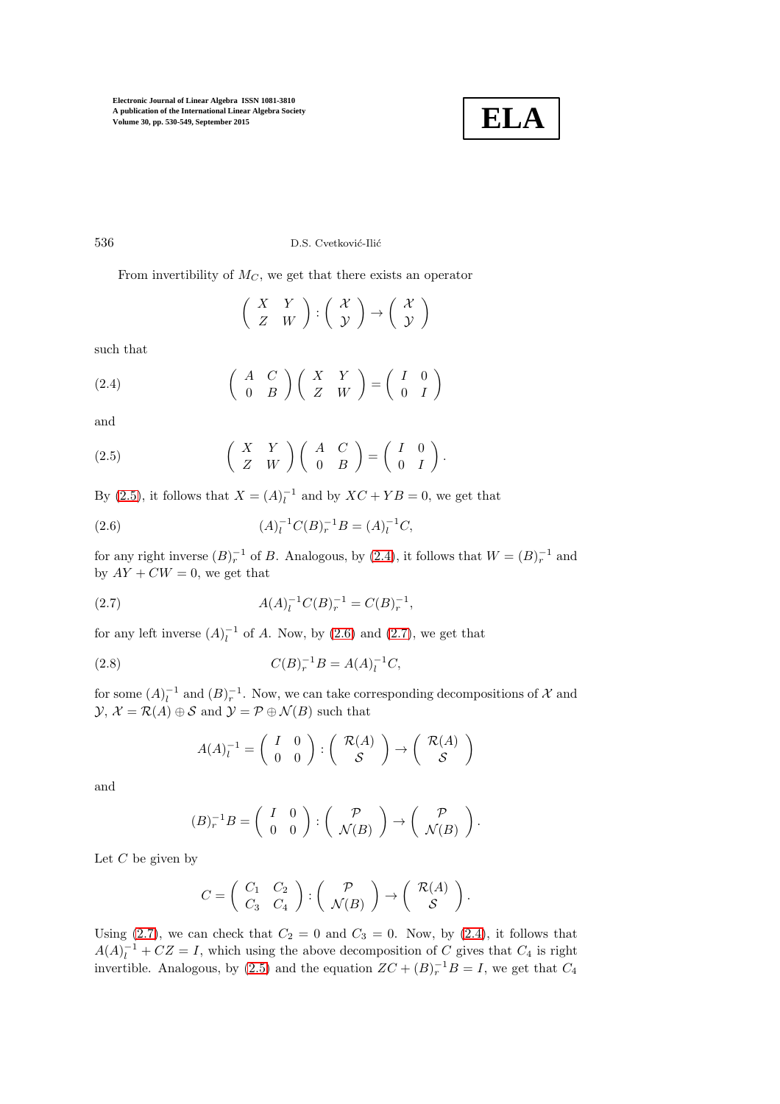

536 D.S. Cvetković-Ilić

From invertibility of  $M_C$ , we get that there exists an operator

<span id="page-6-1"></span> $\left(\begin{array}{cc} X & Y \ Z & W \end{array}\right) : \left(\begin{array}{c} \mathcal{X} \ \mathcal{Y} \end{array}\right)$  $\mathcal{Y}$  $\Big) \rightarrow \Big( \begin{array}{c} \mathcal{X} \\ \mathcal{X} \end{array} \Big)$  $\mathcal{Y}$  $\setminus$ 

such that

(2.4) 
$$
\begin{pmatrix} A & C \ 0 & B \end{pmatrix} \begin{pmatrix} X & Y \ Z & W \end{pmatrix} = \begin{pmatrix} I & 0 \ 0 & I \end{pmatrix}
$$

and

<span id="page-6-0"></span>(2.5) 
$$
\begin{pmatrix} X & Y \ Z & W \end{pmatrix} \begin{pmatrix} A & C \ 0 & B \end{pmatrix} = \begin{pmatrix} I & 0 \ 0 & I \end{pmatrix}.
$$

By [\(2](#page-6-0).5), it follows that  $X = (A)_l^{-1}$  and by  $XC + YB = 0$ , we get that

<span id="page-6-2"></span>(2.6) 
$$
(A)_l^{-1}C(B)_r^{-1}B = (A)_l^{-1}C,
$$

for any right inverse  $(B)_r^{-1}$  of B. Analogous, by [\(2](#page-6-1).4), it follows that  $W = (B)_r^{-1}$  and by  $AY + CW = 0$ , we get that

(2.7) 
$$
A(A)_l^{-1}C(B)_r^{-1}=C(B)_r^{-1},
$$

for any left inverse  $(A)_l^{-1}$  of A. Now, by (2.[6\)](#page-6-2) and (2.[7\)](#page-6-3), we get that

(2.8) 
$$
C(B)_r^{-1}B = A(A)_l^{-1}C,
$$

for some  $(A)_l^{-1}$  and  $(B)_r^{-1}$ . Now, we can take corresponding decompositions of X and  $\mathcal{Y}, \mathcal{X} = \mathcal{R}(A) \oplus \mathcal{S}$  and  $\mathcal{Y} = \mathcal{P} \oplus \mathcal{N}(B)$  such that

<span id="page-6-3"></span>
$$
A(A)_l^{-1} = \left(\begin{array}{cc} I & 0 \\ 0 & 0 \end{array}\right) : \left(\begin{array}{c} \mathcal{R}(A) \\ \mathcal{S} \end{array}\right) \rightarrow \left(\begin{array}{c} \mathcal{R}(A) \\ \mathcal{S} \end{array}\right)
$$

and

$$
(B)_r^{-1}B = \left(\begin{array}{cc} I & 0 \\ 0 & 0 \end{array}\right) : \left(\begin{array}{c} \mathcal{P} \\ \mathcal{N}(B) \end{array}\right) \rightarrow \left(\begin{array}{c} \mathcal{P} \\ \mathcal{N}(B) \end{array}\right).
$$

Let  $C$  be given by

$$
C = \left( \begin{array}{cc} C_1 & C_2 \\ C_3 & C_4 \end{array} \right) : \left( \begin{array}{c} \mathcal{P} \\ \mathcal{N}(B) \end{array} \right) \rightarrow \left( \begin{array}{c} \mathcal{R}(A) \\ \mathcal{S} \end{array} \right).
$$

Using (2.[7\)](#page-6-3), we can check that  $C_2 = 0$  and  $C_3 = 0$ . Now, by (2.[4\)](#page-6-1), it follows that  $A(A)_l^{-1} + CZ = I$ , which using the above decomposition of C gives that  $C_4$  is right invertible. Analogous, by (2.[5\)](#page-6-0) and the equation  $ZC + (B)<sub>r</sub><sup>-1</sup>B = I$ , we get that  $C<sub>4</sub>$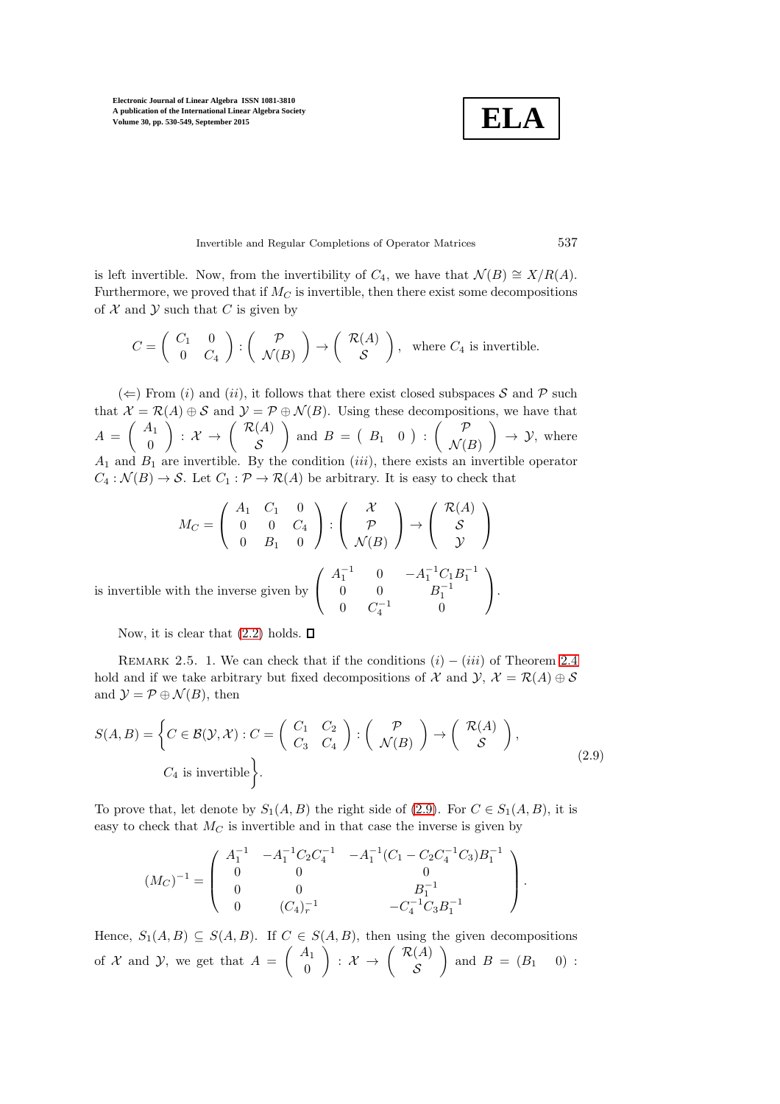**ELA**

Invertible and Regular Completions of Operator Matrices 537

is left invertible. Now, from the invertibility of  $C_4$ , we have that  $\mathcal{N}(B) \cong X/R(A)$ . Furthermore, we proved that if  $M_C$  is invertible, then there exist some decompositions of  $X$  and  $Y$  such that C is given by

$$
C = \begin{pmatrix} C_1 & 0 \\ 0 & C_4 \end{pmatrix} : \begin{pmatrix} \mathcal{P} \\ \mathcal{N}(B) \end{pmatrix} \to \begin{pmatrix} \mathcal{R}(A) \\ \mathcal{S} \end{pmatrix}, \text{ where } C_4 \text{ is invertible.}
$$

 $(\Leftarrow)$  From (i) and (ii), it follows that there exist closed subspaces S and P such that  $\mathcal{X} = \mathcal{R}(A) \oplus \mathcal{S}$  and  $\mathcal{Y} = \mathcal{P} \oplus \mathcal{N}(B)$ . Using these decompositions, we have that  $A = \left( \begin{array}{c} A_1 \\ 0 \end{array} \right)$ 0  $\Big)$  :  $\mathcal{X} \rightarrow \left( \begin{array}{c} \mathcal{R}(A) \\ c \end{array} \right)$ S and  $B = \begin{pmatrix} B_1 & 0 \end{pmatrix}$ :  $\mathcal{N}(B)$  $\Big) \rightarrow \mathcal{Y}$ , where  $A_1$  and  $B_1$  are invertible. By the condition (*iii*), there exists an invertible operator  $C_4 : \mathcal{N}(B) \to \mathcal{S}$ . Let  $C_1 : \mathcal{P} \to \mathcal{R}(A)$  be arbitrary. It is easy to check that

$$
M_C = \begin{pmatrix} A_1 & C_1 & 0 \\ 0 & 0 & C_4 \\ 0 & B_1 & 0 \end{pmatrix} : \begin{pmatrix} \mathcal{X} \\ \mathcal{P} \\ \mathcal{N}(B) \end{pmatrix} \to \begin{pmatrix} \mathcal{R}(A) \\ \mathcal{S} \\ \mathcal{Y} \end{pmatrix}
$$
\nis invertible with the inverse given by 
$$
\begin{pmatrix} A_1^{-1} & 0 & -A_1^{-1}C_1B_1^{-1} \\ 0 & 0 & B_1^{-1} \\ 0 & C_4^{-1} & 0 \end{pmatrix}.
$$

<span id="page-7-1"></span>Now, it is clear that  $(2.2)$  holds.  $\Box$ 

REMARK 2.5. 1. We can check that if the conditions  $(i) - (iii)$  of Theorem [2.4](#page-5-1) hold and if we take arbitrary but fixed decompositions of X and  $\mathcal{Y}, \mathcal{X} = \mathcal{R}(A) \oplus \mathcal{S}$ and  $\mathcal{Y} = \mathcal{P} \oplus \mathcal{N}(B)$ , then

$$
S(A, B) = \left\{ C \in \mathcal{B}(\mathcal{Y}, \mathcal{X}) : C = \begin{pmatrix} C_1 & C_2 \\ C_3 & C_4 \end{pmatrix} : \begin{pmatrix} \mathcal{P} \\ \mathcal{N}(B) \end{pmatrix} \to \begin{pmatrix} \mathcal{R}(A) \\ \mathcal{S} \end{pmatrix}, \right\}
$$
\n
$$
C_4 \text{ is invertible} \right\}.
$$
\n
$$
(2.9)
$$

To prove that, let denote by  $S_1(A, B)$  the right side of (2.[9\)](#page-7-0). For  $C \in S_1(A, B)$ , it is easy to check that  $M_C$  is invertible and in that case the inverse is given by

<span id="page-7-0"></span>
$$
(M_C)^{-1} = \begin{pmatrix} A_1^{-1} & -A_1^{-1}C_2C_4^{-1} & -A_1^{-1}(C_1 - C_2C_4^{-1}C_3)B_1^{-1} \\ 0 & 0 & 0 \\ 0 & 0 & B_1^{-1} \\ 0 & (C_4)_r^{-1} & -C_4^{-1}C_3B_1^{-1} \end{pmatrix}.
$$

Hence,  $S_1(A, B) \subseteq S(A, B)$ . If  $C \in S(A, B)$ , then using the given decompositions of X and Y, we get that  $A = \begin{pmatrix} A_1 \\ A_2 \end{pmatrix}$ 0  $\bigg)$  :  $\mathcal{X} \rightarrow \left( \begin{array}{c} \mathcal{R}(A) \\ c \end{array} \right)$ S ) and  $B = (B_1 \quad 0)$ :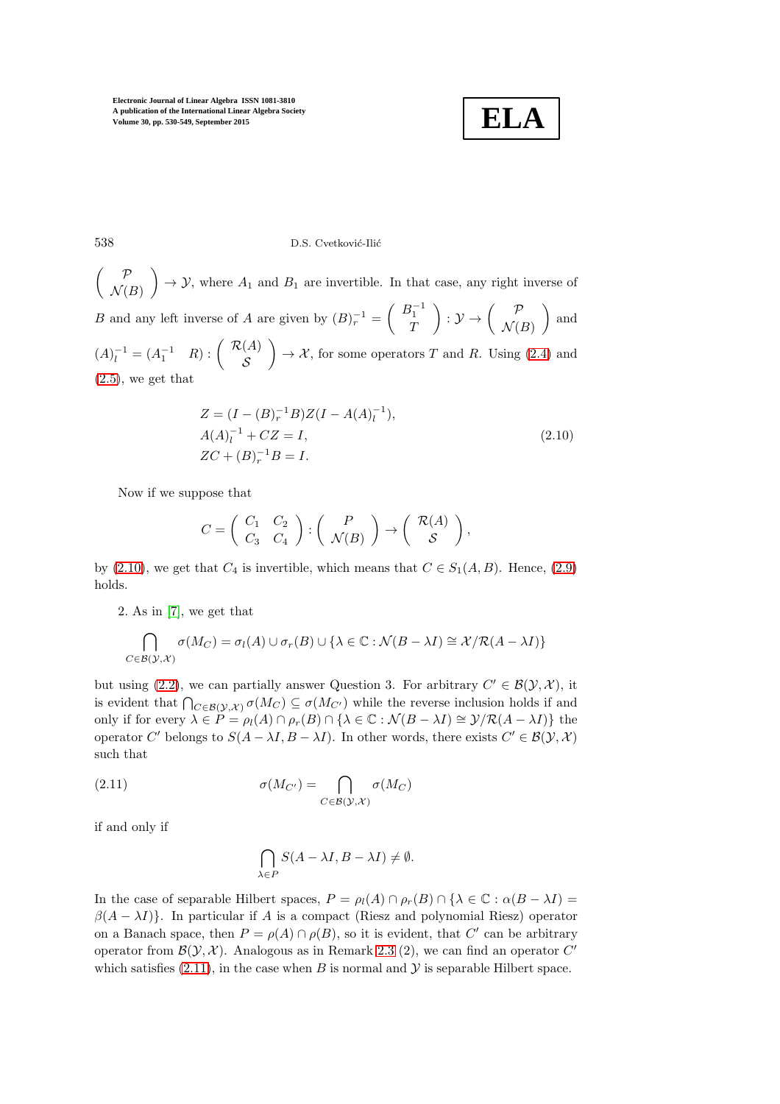<span id="page-8-0"></span>

538 D.S. Cvetković-Ilić

 $\left( \quad P$  $\mathcal{N}(B)$  $\Big) \rightarrow \mathcal{Y}$ , where  $A_1$  and  $B_1$  are invertible. In that case, any right inverse of B and any left inverse of A are given by  $(B)^{-1}_{r} = \begin{pmatrix} B_1^{-1} \\ T \end{pmatrix}$  $\boldsymbol{\mathcal{I}}$  $\bigg) : \mathcal{Y} \rightarrow \left( \begin{array}{c} \mathcal{P} \\ \mathcal{M} \end{array} \right)$  $\mathcal{N}(B)$ ) and  $(A)_l^{-1} = (A_1^{-1} \ R) : \begin{pmatrix} R(A) \\ S \end{pmatrix}$ S  $\Big) \rightarrow \mathcal{X}$ , for some operators T and R. Using [\(2](#page-6-1).4) and  $(2.5)$  $(2.5)$ , we get that

$$
Z = (I - (B)_r^{-1}B)Z(I - A(A)_l^{-1}),
$$
  
\n
$$
A(A)_l^{-1} + CZ = I,
$$
  
\n
$$
ZC + (B)_r^{-1}B = I.
$$
\n(2.10)

Now if we suppose that

$$
C = \begin{pmatrix} C_1 & C_2 \\ C_3 & C_4 \end{pmatrix} : \begin{pmatrix} P \\ \mathcal{N}(B) \end{pmatrix} \rightarrow \begin{pmatrix} \mathcal{R}(A) \\ \mathcal{S} \end{pmatrix},
$$

by (2.[10\)](#page-8-0), we get that  $C_4$  is invertible, which means that  $C \in S_1(A, B)$ . Hence, (2.[9\)](#page-7-0) holds.

2. As in [\[7\]](#page-19-5), we get that

$$
\bigcap_{C \in \mathcal{B}(\mathcal{Y},\mathcal{X})} \sigma(M_C) = \sigma_l(A) \cup \sigma_r(B) \cup \{\lambda \in \mathbb{C} : \mathcal{N}(B - \lambda I) \cong \mathcal{X}/\mathcal{R}(A - \lambda I)\}
$$

but using (2.[2\)](#page-5-0), we can partially answer Question 3. For arbitrary  $C' \in \mathcal{B}(\mathcal{Y}, \mathcal{X})$ , it is evident that  $\bigcap_{C \in \mathcal{B}(\mathcal{Y},\mathcal{X})} \sigma(M_C) \subseteq \sigma(M_{C'})$  while the reverse inclusion holds if and only if for every  $\lambda \in P = \rho_l(A) \cap \rho_r(B) \cap {\lambda \in \mathbb{C} : \mathcal{N}(B - \lambda I) \cong \mathcal{Y}/\mathcal{R}(A - \lambda I)}$  the operator C' belongs to  $S(A - \lambda I, B - \lambda I)$ . In other words, there exists  $C' \in \mathcal{B}(\mathcal{Y}, \mathcal{X})$ such that

(2.11) 
$$
\sigma(M_{C'}) = \bigcap_{C \in \mathcal{B}(\mathcal{Y},\mathcal{X})} \sigma(M_C)
$$

if and only if

<span id="page-8-1"></span>
$$
\bigcap_{\lambda \in P} S(A - \lambda I, B - \lambda I) \neq \emptyset.
$$

In the case of separable Hilbert spaces,  $P = \rho_l(A) \cap \rho_r(B) \cap {\lambda \in \mathbb{C} : \alpha(B - \lambda I) =$  $\beta(A - \lambda I)$ . In particular if A is a compact (Riesz and polynomial Riesz) operator on a Banach space, then  $P = \rho(A) \cap \rho(B)$ , so it is evident, that C' can be arbitrary operator from  $\mathcal{B}(\mathcal{Y}, \mathcal{X})$ . Analogous as in Remark [2.3](#page-4-0) (2), we can find an operator  $C'$ which satisfies  $(2.11)$  $(2.11)$ , in the case when B is normal and  $\mathcal Y$  is separable Hilbert space.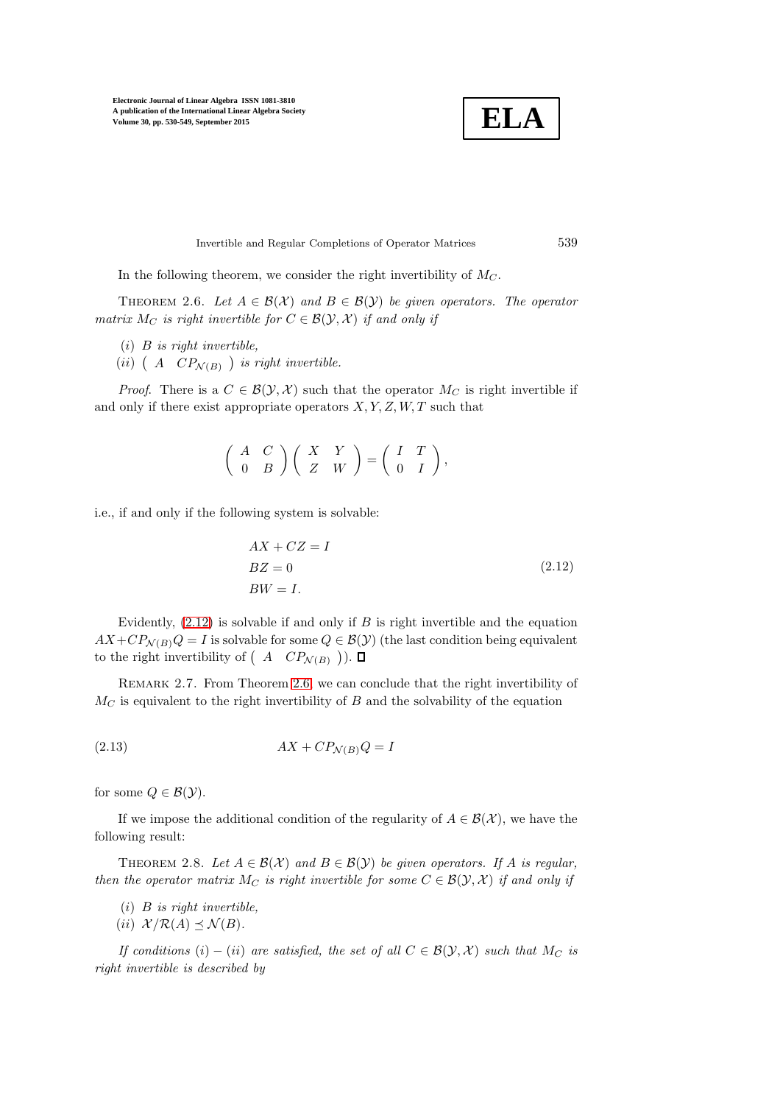

Invertible and Regular Completions of Operator Matrices 539

<span id="page-9-1"></span>In the following theorem, we consider the right invertibility of  $M_C$ .

THEOREM 2.6. Let  $A \in \mathcal{B}(\mathcal{X})$  and  $B \in \mathcal{B}(\mathcal{Y})$  be given operators. The operator *matrix*  $M_C$  *is right invertible for*  $C \in \mathcal{B}(\mathcal{Y}, \mathcal{X})$  *if and only if* 

- (i) B *is right invertible,*
- (*ii*)  $\left(A \quad CP_{\mathcal{N}(B)} \right)$  *is right invertible.*

*Proof.* There is a  $C \in \mathcal{B}(\mathcal{Y}, \mathcal{X})$  such that the operator  $M_C$  is right invertible if and only if there exist appropriate operators  $X, Y, Z, W, T$  such that

$$
\left(\begin{array}{cc}A&C\\0&B\end{array}\right)\left(\begin{array}{cc}X&Y\\Z&W\end{array}\right)=\left(\begin{array}{cc}I&T\\0&I\end{array}\right),
$$

i.e., if and only if the following system is solvable:

<span id="page-9-0"></span>
$$
AX + CZ = I
$$
  
\n
$$
BZ = 0
$$
 (2.12)  
\n
$$
BW = I.
$$

Evidently,  $(2.12)$  $(2.12)$  is solvable if and only if B is right invertible and the equation  $AX+CP_{\mathcal{N}(B)}Q = I$  is solvable for some  $Q \in \mathcal{B}(Y)$  (the last condition being equivalent to the right invertibility of  $(A \ C P_{\mathcal{N}(B)})$ .

<span id="page-9-2"></span>REMARK 2.7. From Theorem [2.6,](#page-9-1) we can conclude that the right invertibility of  $M_C$  is equivalent to the right invertibility of B and the solvability of the equation

<span id="page-9-3"></span>
$$
(2.13)\t\t\t AX + CP\mathcal{N}(B)Q = I
$$

for some  $Q \in \mathcal{B}(\mathcal{Y})$ .

If we impose the additional condition of the regularity of  $A \in \mathcal{B}(\mathcal{X})$ , we have the following result:

THEOREM 2.8. Let  $A \in \mathcal{B}(\mathcal{X})$  and  $B \in \mathcal{B}(\mathcal{Y})$  be given operators. If A is regular, *then the operator matrix*  $M_C$  *is right invertible for some*  $C \in \mathcal{B}(\mathcal{Y}, \mathcal{X})$  *if and only if* 

- (i) B *is right invertible,*
- (*ii*)  $\mathcal{X}/\mathcal{R}(A) \preceq \mathcal{N}(B)$ .

*If conditions*  $(i) - (ii)$  *are satisfied, the set of all*  $C \in \mathcal{B}(\mathcal{Y}, \mathcal{X})$  *such that*  $M_C$  *is right invertible is described by*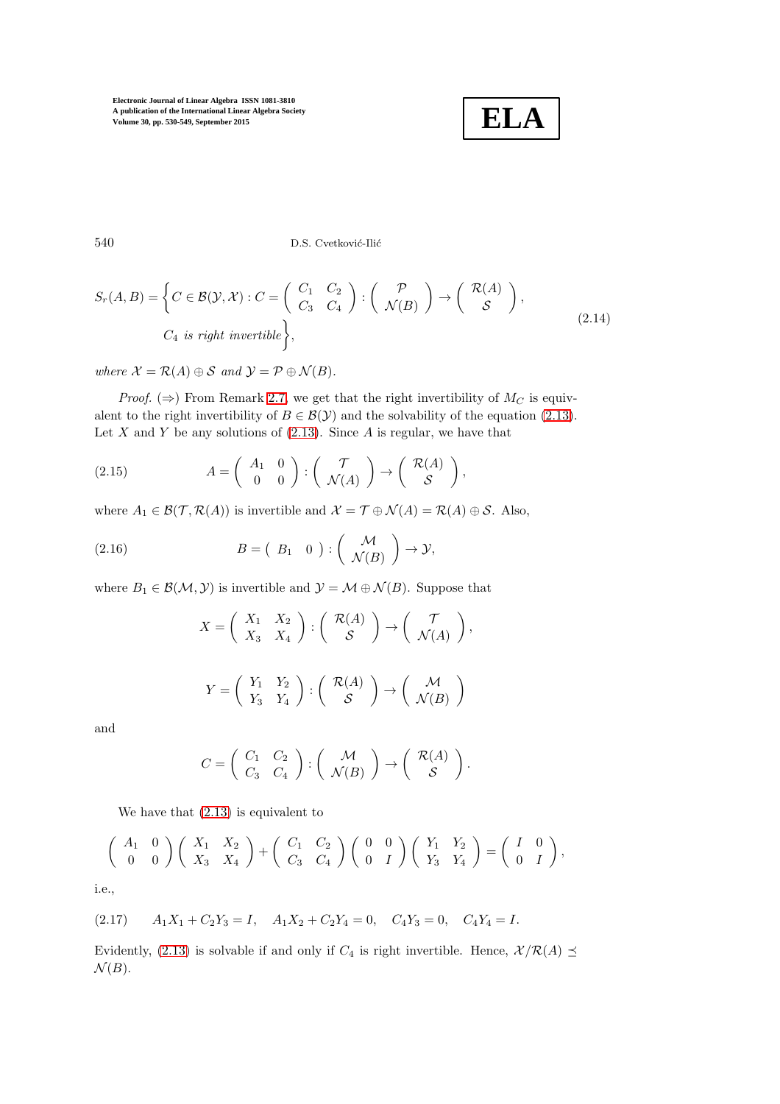<span id="page-10-0"></span>**ELA**

540 D.S. Cvetković-Ilić

$$
S_r(A, B) = \left\{ C \in \mathcal{B}(\mathcal{Y}, \mathcal{X}) : C = \begin{pmatrix} C_1 & C_2 \\ C_3 & C_4 \end{pmatrix} : \begin{pmatrix} \mathcal{P} \\ \mathcal{N}(B) \end{pmatrix} \to \begin{pmatrix} \mathcal{R}(A) \\ \mathcal{S} \end{pmatrix}, \right\}
$$
\n
$$
C_4 \text{ is right invertible } \left\}, \tag{2.14}
$$

*where*  $\mathcal{X} = \mathcal{R}(A) \oplus \mathcal{S}$  *and*  $\mathcal{Y} = \mathcal{P} \oplus \mathcal{N}(B)$ *.* 

*Proof.* ( $\Rightarrow$ ) From Remark [2.7,](#page-9-2) we get that the right invertibility of  $M_C$  is equivalent to the right invertibility of  $B \in \mathcal{B}(\mathcal{Y})$  and the solvability of the equation (2.[13\)](#page-9-3). Let  $X$  and  $Y$  be any solutions of  $(2.13)$  $(2.13)$ . Since  $A$  is regular, we have that

<span id="page-10-1"></span>(2.15) 
$$
A = \begin{pmatrix} A_1 & 0 \\ 0 & 0 \end{pmatrix} : \begin{pmatrix} \mathcal{T} \\ \mathcal{N}(A) \end{pmatrix} \rightarrow \begin{pmatrix} \mathcal{R}(A) \\ \mathcal{S} \end{pmatrix},
$$

where  $A_1 \in \mathcal{B}(\mathcal{T}, \mathcal{R}(A))$  is invertible and  $\mathcal{X} = \mathcal{T} \oplus \mathcal{N}(A) = \mathcal{R}(A) \oplus \mathcal{S}$ . Also,

(2.16) 
$$
B = \begin{pmatrix} B_1 & 0 \end{pmatrix} : \begin{pmatrix} M \\ \mathcal{N}(B) \end{pmatrix} \to \mathcal{Y},
$$

where  $B_1 \in \mathcal{B}(\mathcal{M}, \mathcal{Y})$  is invertible and  $\mathcal{Y} = \mathcal{M} \oplus \mathcal{N}(B)$ . Suppose that

<span id="page-10-2"></span>
$$
X = \begin{pmatrix} X_1 & X_2 \\ X_3 & X_4 \end{pmatrix} : \begin{pmatrix} \mathcal{R}(A) \\ \mathcal{S} \end{pmatrix} \to \begin{pmatrix} \mathcal{T} \\ \mathcal{N}(A) \end{pmatrix},
$$

$$
Y = \begin{pmatrix} Y_1 & Y_2 \\ Y_3 & Y_4 \end{pmatrix} : \begin{pmatrix} \mathcal{R}(A) \\ \mathcal{S} \end{pmatrix} \to \begin{pmatrix} \mathcal{M} \\ \mathcal{N}(B) \end{pmatrix}
$$

and

$$
C = \left( \begin{array}{cc} C_1 & C_2 \\ C_3 & C_4 \end{array} \right) : \left( \begin{array}{c} \mathcal{M} \\ \mathcal{N}(B) \end{array} \right) \rightarrow \left( \begin{array}{c} \mathcal{R}(A) \\ \mathcal{S} \end{array} \right).
$$

We have that (2.[13\)](#page-9-3) is equivalent to

$$
\left(\begin{array}{cc}\nA_1 & 0 \\
0 & 0\n\end{array}\right)\n\left(\begin{array}{cc}\nX_1 & X_2 \\
X_3 & X_4\n\end{array}\right) +\n\left(\begin{array}{cc}\nC_1 & C_2 \\
C_3 & C_4\n\end{array}\right)\n\left(\begin{array}{cc}\n0 & 0 \\
0 & I\n\end{array}\right)\n\left(\begin{array}{cc}\nY_1 & Y_2 \\
Y_3 & Y_4\n\end{array}\right) =\n\left(\begin{array}{cc}\nI & 0 \\
0 & I\n\end{array}\right),
$$

i.e.,

$$
(2.17) \qquad A_1X_1 + C_2Y_3 = I, \quad A_1X_2 + C_2Y_4 = 0, \quad C_4Y_3 = 0, \quad C_4Y_4 = I.
$$

Evidently, (2.[13\)](#page-9-3) is solvable if and only if  $C_4$  is right invertible. Hence,  $\mathcal{X}/\mathcal{R}(A) \preceq$  $\mathcal{N}(B)$ .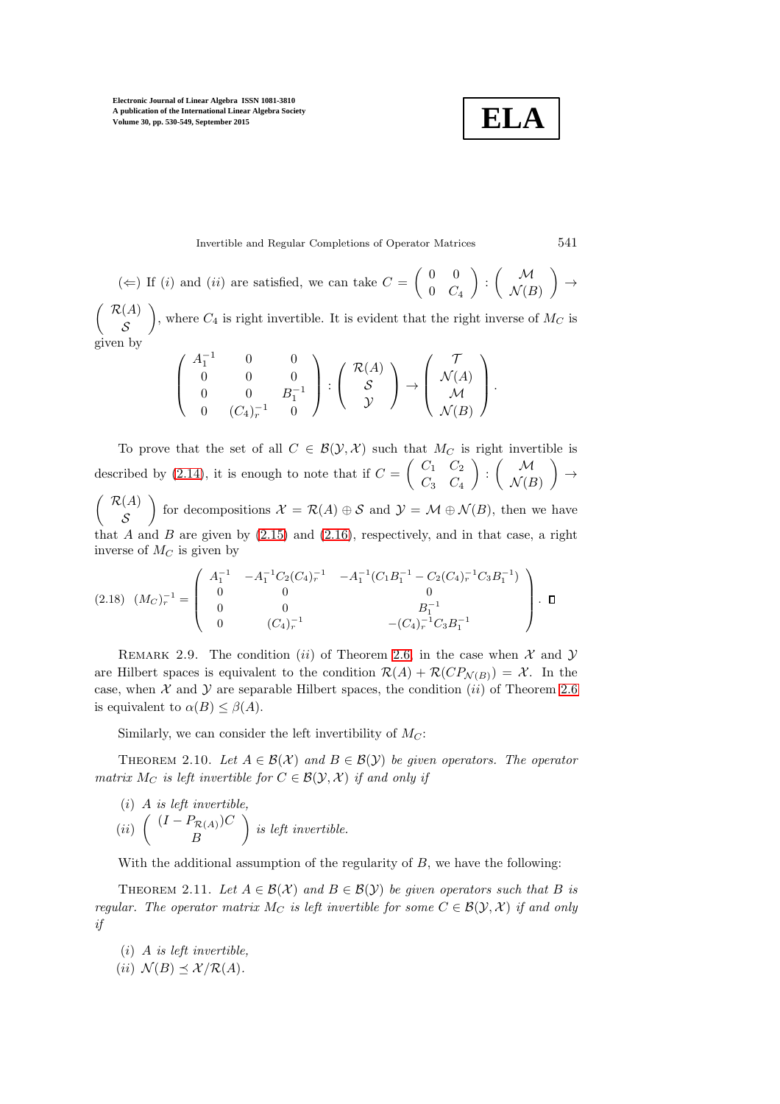$$
\boxed{\textbf{ELA}}
$$

Invertible and Regular Completions of Operator Matrices 541

$$
(\Leftarrow)
$$
 If *(i)* and *(ii)* are satisfied, we can take  $C = \begin{pmatrix} 0 & 0 \\ 0 & C_4 \end{pmatrix} : \begin{pmatrix} \mathcal{M} \\ \mathcal{N}(B) \end{pmatrix} \rightarrow$   
 $\mathcal{P}(A)$ 

 $\int \mathcal{R}(A)$ S ), where  $C_4$  is right invertible. It is evident that the right inverse of  $M_C$  is given by

$$
\left(\begin{array}{ccc} A_1^{-1} & 0 & 0 \\ 0 & 0 & 0 \\ 0 & 0 & B_1^{-1} \\ 0 & (C_4)_r^{-1} & 0 \end{array}\right) : \left(\begin{array}{c} \mathcal{R}(A) \\ \mathcal{S} \\ \mathcal{Y} \end{array}\right) \rightarrow \left(\begin{array}{c} \mathcal{T} \\ \mathcal{N}(A) \\ \mathcal{M} \\ \mathcal{N}(B) \end{array}\right).
$$

To prove that the set of all  $C \in \mathcal{B}(\mathcal{Y}, \mathcal{X})$  such that  $M_C$  is right invertible is described by (2.[14\)](#page-10-0), it is enough to note that if  $C = \begin{pmatrix} C_1 & C_2 \\ C & C_1 \end{pmatrix}$  $C_3$   $C_4$  $\bigg)$  :  $\bigg( \begin{array}{c} M \\ M \end{array} \bigg)$  $\mathcal{N}(B)$  $\Big) \rightarrow$  $\int \mathcal{R}(A)$ for decompositions  $\mathcal{X} = \mathcal{R}(A) \oplus \mathcal{S}$  and  $\mathcal{Y} = \mathcal{M} \oplus \mathcal{N}(B)$ , then we have

S that  $A$  and  $B$  are given by  $(2.15)$  $(2.15)$  and  $(2.16)$  $(2.16)$ , respectively, and in that case, a right inverse of  $M_C$  is given by

$$
(2.18) \quad (Mc)^{-1}_{r} = \begin{pmatrix} A_{1}^{-1} & -A_{1}^{-1}C_{2}(C_{4})_{r}^{-1} & -A_{1}^{-1}(C_{1}B_{1}^{-1} - C_{2}(C_{4})_{r}^{-1}C_{3}B_{1}^{-1}) \\ 0 & 0 & 0 \\ 0 & 0 & B_{1}^{-1} \\ 0 & (C_{4})_{r}^{-1} & -(C_{4})_{r}^{-1}C_{3}B_{1}^{-1} \end{pmatrix} . \quad \Box
$$

REMARK 2.9. The condition (ii) of Theorem [2.6,](#page-9-1) in the case when  $\mathcal X$  and  $\mathcal Y$ are Hilbert spaces is equivalent to the condition  $\mathcal{R}(A) + \mathcal{R}(CP_{\mathcal{N}(B)}) = \mathcal{X}$ . In the case, when  $\mathcal X$  and  $\mathcal Y$  are separable Hilbert spaces, the condition (ii) of Theorem [2.6](#page-9-1) is equivalent to  $\alpha(B) \leq \beta(A)$ .

Similarly, we can consider the left invertibility of  $M_C$ :

THEOREM 2.10. Let  $A \in \mathcal{B}(\mathcal{X})$  and  $B \in \mathcal{B}(\mathcal{Y})$  be given operators. The operator *matrix*  $M_C$  *is left invertible for*  $C \in \mathcal{B}(\mathcal{Y}, \mathcal{X})$  *if and only if* 

(i) A is left invertible,  
(ii) 
$$
\begin{pmatrix} (I - P_{\mathcal{R}(A)})C \\ B \end{pmatrix}
$$
 is left invertible.

<span id="page-11-0"></span>With the additional assumption of the regularity of  $B$ , we have the following:

THEOREM 2.11. Let  $A \in \mathcal{B}(\mathcal{X})$  and  $B \in \mathcal{B}(\mathcal{Y})$  be given operators such that B is *regular. The operator matrix*  $M_C$  *is left invertible for some*  $C \in \mathcal{B}(\mathcal{Y}, \mathcal{X})$  *if and only if*

(i) A *is left invertible,*

 $(ii)$   $\mathcal{N}(B) \preceq \mathcal{X}/\mathcal{R}(A)$ *.*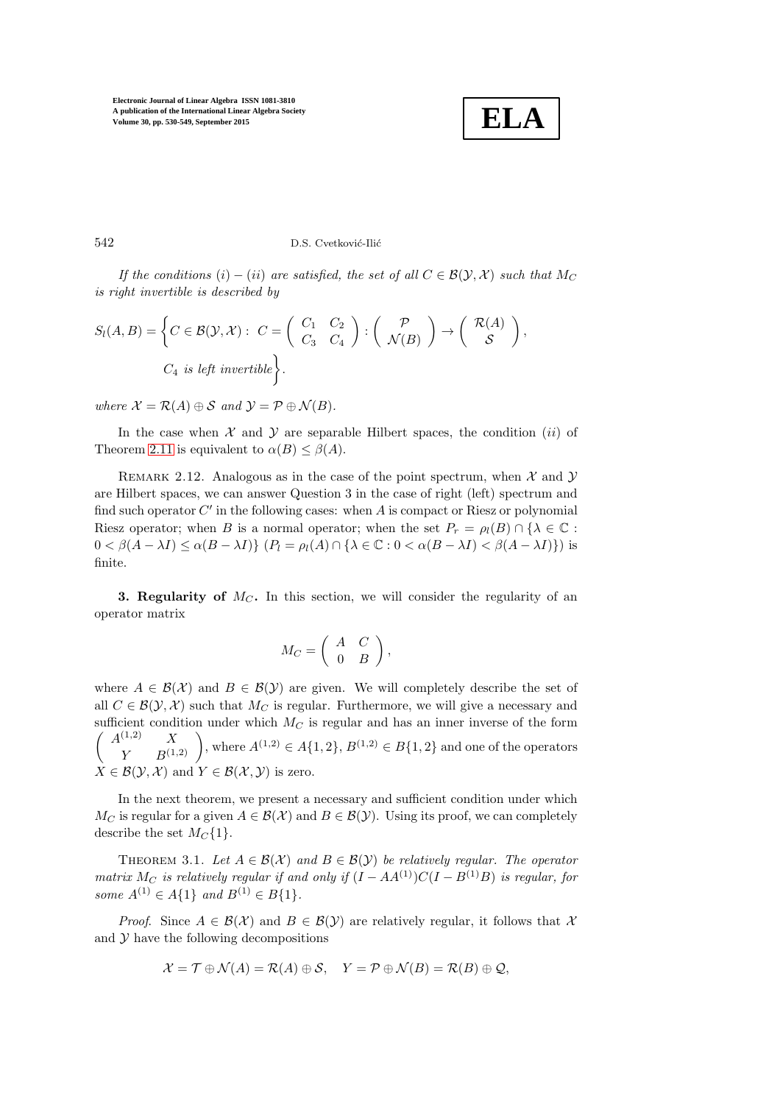

542 D.S. Cvetković-Ilić

*If the conditions*  $(i) - (ii)$  *are satisfied, the set of all*  $C \in \mathcal{B}(\mathcal{Y}, \mathcal{X})$  *such that*  $M_C$ *is right invertible is described by*

$$
S_l(A, B) = \left\{ C \in \mathcal{B}(\mathcal{Y}, \mathcal{X}) : C = \begin{pmatrix} C_1 & C_2 \\ C_3 & C_4 \end{pmatrix} : \begin{pmatrix} \mathcal{P} \\ \mathcal{N}(B) \end{pmatrix} \to \begin{pmatrix} \mathcal{R}(A) \\ \mathcal{S} \end{pmatrix}, \right\}
$$
\n
$$
C_4 \text{ is left invertible } \left\}.
$$

*where*  $\mathcal{X} = \mathcal{R}(A) \oplus \mathcal{S}$  *and*  $\mathcal{Y} = \mathcal{P} \oplus \mathcal{N}(B)$ *.* 

In the case when  $X$  and  $Y$  are separable Hilbert spaces, the condition *(ii)* of Theorem [2.11](#page-11-0) is equivalent to  $\alpha(B) \leq \beta(A)$ .

REMARK 2.12. Analogous as in the case of the point spectrum, when  $\mathcal X$  and  $\mathcal Y$ are Hilbert spaces, we can answer Question 3 in the case of right (left) spectrum and find such operator  $C'$  in the following cases: when  $A$  is compact or Riesz or polynomial Riesz operator; when B is a normal operator; when the set  $P_r = \rho_l(B) \cap {\lambda \in \mathbb{C}}$ :  $0 < \beta(A - \lambda I) \leq \alpha(B - \lambda I)$   $\{P_l = \rho_l(A) \cap {\lambda \in \mathbb{C} : 0 < \alpha(B - \lambda I) < \beta(A - \lambda I)\}\}\$ is finite.

**3. Regularity of**  $M_C$ . In this section, we will consider the regularity of an operator matrix

$$
M_C = \left( \begin{array}{cc} A & C \\ 0 & B \end{array} \right),
$$

where  $A \in \mathcal{B}(\mathcal{X})$  and  $B \in \mathcal{B}(\mathcal{Y})$  are given. We will completely describe the set of all  $C \in \mathcal{B}(\mathcal{Y}, \mathcal{X})$  such that  $M_C$  is regular. Furthermore, we will give a necessary and sufficient condition under which  $M_C$  is regular and has an inner inverse of the form  $\sqrt{2}$  ${\cal A}^{(1,2)}$  $\begin{pmatrix} 1,2) & X \ Y & B(1,2) \end{pmatrix}$ , where  $A^{(1,2)} \in A\{1,2\}, B^{(1,2)} \in B\{1,2\}$  and one of the operators  $X \in \mathcal{B}(\mathcal{Y}, \mathcal{X})$  and  $Y \in \mathcal{B}(\mathcal{X}, \mathcal{Y})$  is zero.

In the next theorem, we present a necessary and sufficient condition under which  $M_C$  is regular for a given  $A \in \mathcal{B}(\mathcal{X})$  and  $B \in \mathcal{B}(\mathcal{Y})$ . Using its proof, we can completely describe the set  $M_C\{1\}$ .

<span id="page-12-0"></span>THEOREM 3.1. Let  $A \in \mathcal{B}(\mathcal{X})$  and  $B \in \mathcal{B}(\mathcal{Y})$  be relatively regular. The operator *matrix*  $M_C$  *is relatively regular if and only if*  $(I - AA^{(1)})C(I - B^{(1)}B)$  *is regular, for some*  $A^{(1)} \in A\{1\}$  *and*  $B^{(1)} \in B\{1\}$ *.* 

*Proof.* Since  $A \in \mathcal{B}(\mathcal{X})$  and  $B \in \mathcal{B}(\mathcal{Y})$  are relatively regular, it follows that X and  $\mathcal Y$  have the following decompositions

$$
\mathcal{X} = \mathcal{T} \oplus \mathcal{N}(A) = \mathcal{R}(A) \oplus \mathcal{S}, \quad Y = \mathcal{P} \oplus \mathcal{N}(B) = \mathcal{R}(B) \oplus \mathcal{Q},
$$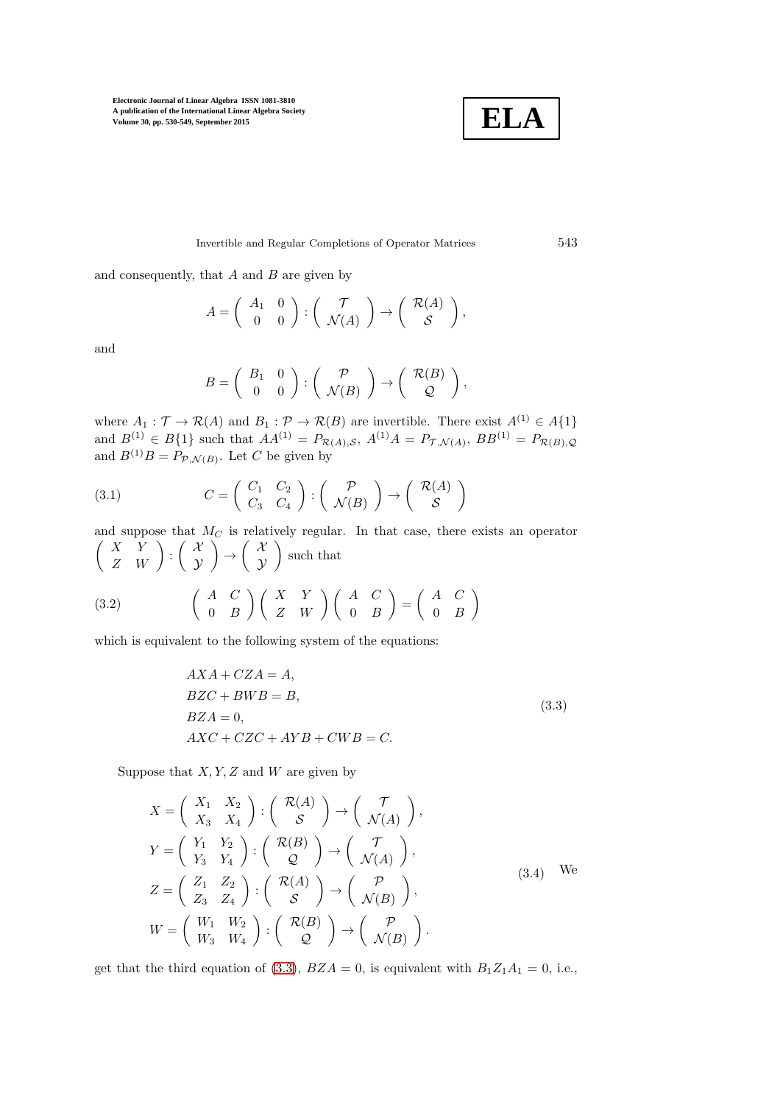

Invertible and Regular Completions of Operator Matrices 543

and consequently, that  $A$  and  $B$  are given by

$$
A = \left(\begin{array}{cc} A_1 & 0 \\ 0 & 0 \end{array}\right) : \left(\begin{array}{c} \mathcal{T} \\ \mathcal{N}(A) \end{array}\right) \rightarrow \left(\begin{array}{c} \mathcal{R}(A) \\ \mathcal{S} \end{array}\right),
$$

and

$$
B = \left(\begin{array}{cc} B_1 & 0 \\ 0 & 0 \end{array}\right) : \left(\begin{array}{c} \mathcal{P} \\ \mathcal{N}(B) \end{array}\right) \rightarrow \left(\begin{array}{c} \mathcal{R}(B) \\ \mathcal{Q} \end{array}\right),
$$

where  $A_1: \mathcal{T} \to \mathcal{R}(A)$  and  $B_1: \mathcal{P} \to \mathcal{R}(B)$  are invertible. There exist  $A^{(1)} \in A\{1\}$ and  $B^{(1)} \in B\{1\}$  such that  $AA^{(1)} = P_{\mathcal{R}(A),\mathcal{S}}, A^{(1)}A = P_{\mathcal{T},\mathcal{N}(A)}, BB^{(1)} = P_{\mathcal{R}(B),\mathcal{Q}}$ and  $B^{(1)}B = P_{\mathcal{P}, \mathcal{N}(B)}$ . Let C be given by

(3.1) 
$$
C = \begin{pmatrix} C_1 & C_2 \\ C_3 & C_4 \end{pmatrix} : \begin{pmatrix} \mathcal{P} \\ \mathcal{N}(B) \end{pmatrix} \to \begin{pmatrix} \mathcal{R}(A) \\ \mathcal{S} \end{pmatrix}
$$

and suppose that  $M_C$  is relatively regular. In that case, there exists an operator  $\left(\begin{array}{cc} X & Y \ Z & W \end{array}\right) : \left(\begin{array}{c} {\cal X} \ {\cal Y} \end{array}\right)$  $\mathcal Y$  $\Big) \rightarrow \Big( \begin{array}{c} \mathcal{X} \\ \mathcal{X} \end{array} \Big)$  $\mathcal Y$  such that  $\left( \begin{array}{cc} A & C \end{array} \right)$  $0 \quad B$  $\Big) \left( \begin{array}{cc} X & Y \ Z & W \end{array} \right) \left( \begin{array}{cc} A & C \ 0 & B \end{array} \right)$  $= \begin{pmatrix} A & C \\ 0 & B \end{pmatrix}$  $0 \quad B$  $\setminus$ (3.2)

which is equivalent to the following system of the equations:

<span id="page-13-1"></span><span id="page-13-0"></span>
$$
AXA + CZA = A,
$$
  
\n
$$
BZC + BWB = B,
$$
  
\n
$$
BZA = 0,
$$
  
\n
$$
AXC + CZC + AYB + CWB = C.
$$
\n(3.3)

Suppose that  $X, Y, Z$  and  $W$  are given by

$$
X = \begin{pmatrix} X_1 & X_2 \\ X_3 & X_4 \end{pmatrix} : \begin{pmatrix} \mathcal{R}(A) \\ \mathcal{S} \end{pmatrix} \to \begin{pmatrix} \mathcal{T} \\ \mathcal{N}(A) \end{pmatrix},
$$
  
\n
$$
Y = \begin{pmatrix} Y_1 & Y_2 \\ Y_3 & Y_4 \end{pmatrix} : \begin{pmatrix} \mathcal{R}(B) \\ \mathcal{Q} \end{pmatrix} \to \begin{pmatrix} \mathcal{T} \\ \mathcal{N}(A) \end{pmatrix},
$$
  
\n
$$
Z = \begin{pmatrix} Z_1 & Z_2 \\ Z_3 & Z_4 \end{pmatrix} : \begin{pmatrix} \mathcal{R}(A) \\ \mathcal{S} \end{pmatrix} \to \begin{pmatrix} \mathcal{P} \\ \mathcal{N}(B) \end{pmatrix},
$$
  
\n
$$
W = \begin{pmatrix} W_1 & W_2 \\ W_3 & W_4 \end{pmatrix} : \begin{pmatrix} \mathcal{R}(B) \\ \mathcal{Q} \end{pmatrix} \to \begin{pmatrix} \mathcal{P} \\ \mathcal{N}(B) \end{pmatrix}.
$$
 (3.4)

get that the third equation of [\(3](#page-13-0).3),  $BZA = 0$ , is equivalent with  $B_1Z_1A_1 = 0$ , i.e.,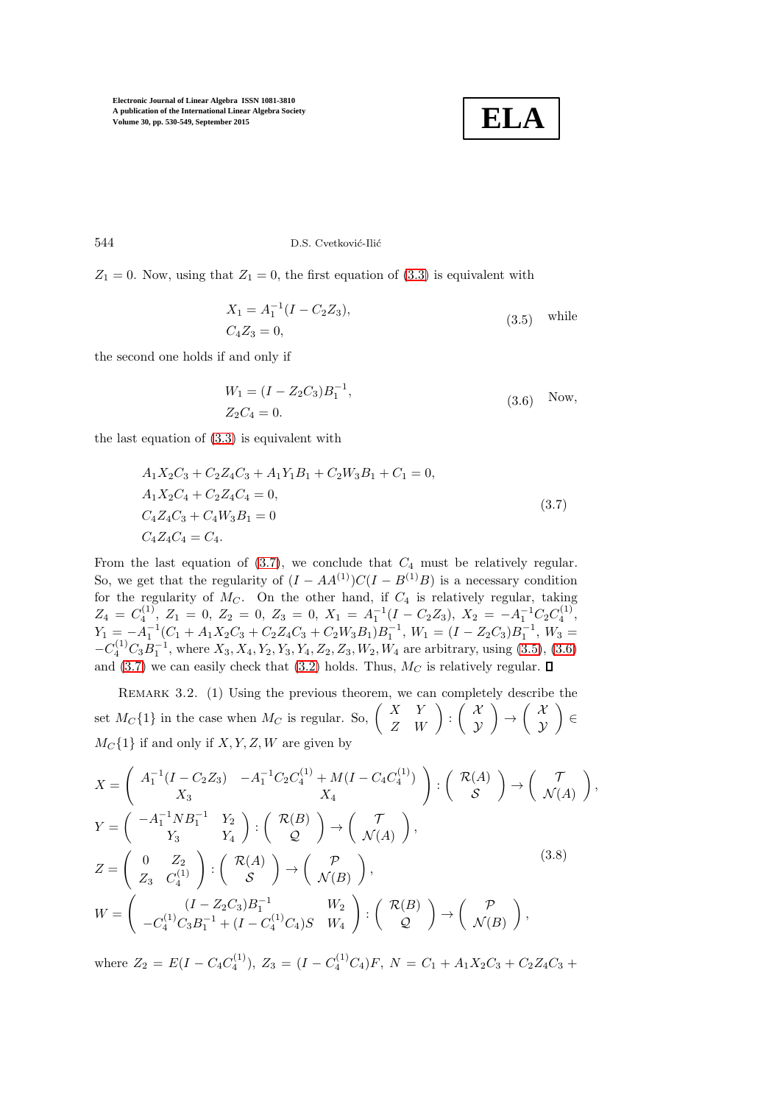<span id="page-14-1"></span>

544 D.S. Cvetković-Ilić

 $Z_1 = 0$ . Now, using that  $Z_1 = 0$ , the first equation of (3.[3\)](#page-13-0) is equivalent with

$$
X_1 = A_1^{-1}(I - C_2 Z_3),
$$
  
\n
$$
C_4 Z_3 = 0,
$$
\n
$$
(3.5)
$$
 while

the second one holds if and only if

<span id="page-14-2"></span><span id="page-14-0"></span>
$$
W_1 = (I - Z_2 C_3) B_1^{-1},
$$
  
\n
$$
Z_2 C_4 = 0.
$$
 (3.6) Now,

the last equation of (3.[3\)](#page-13-0) is equivalent with

$$
A_1 X_2 C_3 + C_2 Z_4 C_3 + A_1 Y_1 B_1 + C_2 W_3 B_1 + C_1 = 0,
$$
  
\n
$$
A_1 X_2 C_4 + C_2 Z_4 C_4 = 0,
$$
  
\n
$$
C_4 Z_4 C_3 + C_4 W_3 B_1 = 0
$$
  
\n
$$
C_4 Z_4 C_4 = C_4.
$$
\n(3.7)

From the last equation of  $(3.7)$  $(3.7)$ , we conclude that  $C_4$  must be relatively regular. So, we get that the regularity of  $(I - AA^{(1)})C(I - B^{(1)}B)$  is a necessary condition for the regularity of  $M<sub>C</sub>$ . On the other hand, if  $C<sub>4</sub>$  is relatively regular, taking  $Z_4 = C_4^{(1)}, Z_1 = 0, Z_2 = 0, Z_3 = 0, X_1 = A_1^{-1}(I - C_2 Z_3), X_2 = -A_1^{-1} C_2 C_4^{(1)},$  $Y_1 = -A_1^{-1}(C_1 + A_1X_2C_3 + C_2Z_4C_3 + C_2W_3B_1)B_1^{-1}, W_1 = (I - Z_2C_3)B_1^{-1}, W_3 =$  $-C_4^{(1)}C_3B_1^{-1}$ , where  $X_3, X_4, Y_2, Y_3, Y_4, Z_2, Z_3, W_2, W_4$  are arbitrary, using (3.[5\)](#page-14-1), (3.[6\)](#page-14-2) and [\(3](#page-14-0).7) we can easily check that (3.[2\)](#page-13-1) holds. Thus,  $M_C$  is relatively regular.  $\square$ 

REMARK 3.2. (1) Using the previous theorem, we can completely describe the set  $M_C\{1\}$  in the case when  $M_C$  is regular. So,  $\begin{pmatrix} X & Y \\ Z & W \end{pmatrix} : \begin{pmatrix} \mathcal{X} & Y \\ Y & W \end{pmatrix}$  $\mathcal{Y}$  $\Big\} \rightarrow \Big( \begin{array}{c} \mathcal{X} \\ \mathcal{X} \end{array} \Big)$  $\mathcal{Y}$  ∈  $M_C$ {1} if and only if X, Y, Z, W are given by

$$
X = \begin{pmatrix} A_1^{-1}(I - C_2 Z_3) & -A_1^{-1} C_2 C_4^{(1)} + M(I - C_4 C_4^{(1)}) \\ X_3 & X_4 & \end{pmatrix} : \begin{pmatrix} \mathcal{R}(A) \\ \mathcal{S} \end{pmatrix} \to \begin{pmatrix} \mathcal{T} \\ \mathcal{N}(A) \end{pmatrix},
$$
  
\n
$$
Y = \begin{pmatrix} -A_1^{-1} N B_1^{-1} & Y_2 \\ Y_3 & Y_4 \end{pmatrix} : \begin{pmatrix} \mathcal{R}(B) \\ \mathcal{Q} \end{pmatrix} \to \begin{pmatrix} \mathcal{T} \\ \mathcal{N}(A) \end{pmatrix},
$$
  
\n
$$
Z = \begin{pmatrix} 0 & Z_2 \\ Z_3 & C_4^{(1)} \end{pmatrix} : \begin{pmatrix} \mathcal{R}(A) \\ \mathcal{S} \end{pmatrix} \to \begin{pmatrix} \mathcal{P} \\ \mathcal{N}(B) \end{pmatrix},
$$
  
\n
$$
W = \begin{pmatrix} (I - Z_2 C_3) B_1^{-1} & W_2 \\ -C_4^{(1)} C_3 B_1^{-1} + (I - C_4^{(1)} C_4) S & W_4 \end{pmatrix} : \begin{pmatrix} \mathcal{R}(B) \\ \mathcal{Q} \end{pmatrix} \to \begin{pmatrix} \mathcal{P} \\ \mathcal{N}(B) \end{pmatrix},
$$
  
\n(3.8)

where  $Z_2 = E(I - C_4 C_4^{(1)})$ ,  $Z_3 = (I - C_4^{(1)} C_4)F$ ,  $N = C_1 + A_1 X_2 C_3 + C_2 Z_4 C_3 +$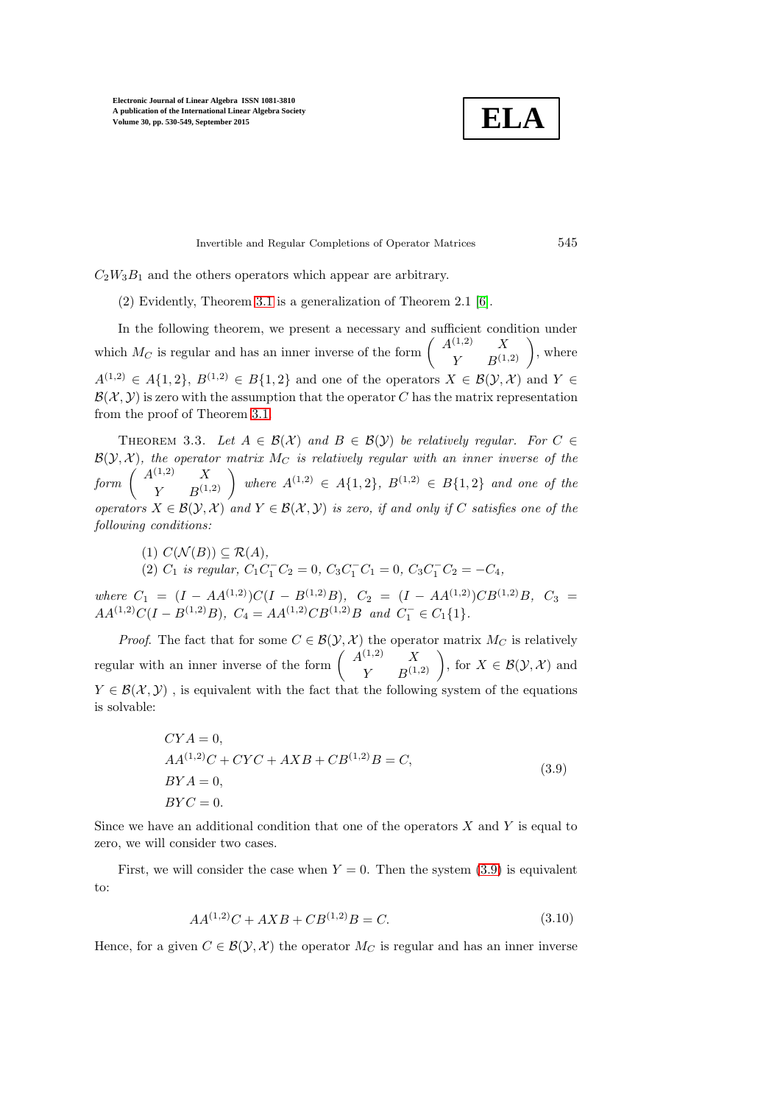**ELA**

Invertible and Regular Completions of Operator Matrices 545

 $C_2W_3B_1$  and the others operators which appear are arbitrary.

(2) Evidently, Theorem [3.1](#page-12-0) is a generalization of Theorem 2.1 [\[6\]](#page-19-7).

In the following theorem, we present a necessary and sufficient condition under which  $M_C$  is regular and has an inner inverse of the form  $\begin{pmatrix} A^{(1,2)} & X \\ Y & B^{(1,2)} \end{pmatrix}$ , where  $A^{(1,2)} \in A\{1,2\}, B^{(1,2)} \in B\{1,2\}$  and one of the operators  $X \in \mathcal{B}(\mathcal{Y},\mathcal{X})$  and  $Y \in$  $\mathcal{B}(\mathcal{X}, \mathcal{Y})$  is zero with the assumption that the operator C has the matrix representation from the proof of Theorem [3.1.](#page-12-0)

<span id="page-15-1"></span>THEOREM 3.3. Let  $A \in \mathcal{B}(\mathcal{X})$  and  $B \in \mathcal{B}(\mathcal{Y})$  be relatively regular. For  $C \in$  $\mathcal{B}(\mathcal{Y}, \mathcal{X})$ *, the operator matrix*  $M_C$  *is relatively regular with an inner inverse of the*  $\textit{form } \left( \begin{array}{cc} A^{(1,2)} & X \\ Y & B^{(1,2)} \end{array} \right) \textit{ where } A^{(1,2)} \in A\{1,2\}, \textit{ } B^{(1,2)} \in B\{1,2\} \textit{ and one of the } \right)$ *operators*  $X \in \mathcal{B}(Y, \mathcal{X})$  *and*  $Y \in \mathcal{B}(\mathcal{X}, \mathcal{Y})$  *is zero, if and only if* C *satisfies one of the following conditions:*

(1) 
$$
C(\mathcal{N}(B)) \subseteq \mathcal{R}(A)
$$
,  
(2)  $C_1$  is regular,  $C_1C_1^-C_2 = 0$ ,  $C_3C_1^-C_1 = 0$ ,  $C_3C_1^-C_2 = -C_4$ ,

*where*  $C_1 = (I - AA^{(1,2)})C(I - B^{(1,2)}B)$ ,  $C_2 = (I - AA^{(1,2)})CB^{(1,2)}B$ ,  $C_3 =$  $AA^{(1,2)}C(I - B^{(1,2)}B), C_4 = AA^{(1,2)}CB^{(1,2)}B \text{ and } C_1^- \in C_1\{1\}.$ 

*Proof.* The fact that for some  $C \in \mathcal{B}(\mathcal{Y}, \mathcal{X})$  the operator matrix  $M_C$  is relatively regular with an inner inverse of the form  $\begin{pmatrix} A^{(1,2)} & X \\ Y & B^{(1,2)} \end{pmatrix}$ , for  $X \in \mathcal{B}(\mathcal{Y},\mathcal{X})$  and  $Y \in \mathcal{B}(\mathcal{X}, \mathcal{Y})$ , is equivalent with the fact that the following system of the equations is solvable:

<span id="page-15-0"></span>
$$
CYA = 0,
$$
  
\n
$$
AA^{(1,2)}C + CYC + AXB + CB^{(1,2)}B = C,
$$
  
\n
$$
BYA = 0,
$$
  
\n
$$
BYC = 0.
$$
\n(3.9)

Since we have an additional condition that one of the operators  $X$  and  $Y$  is equal to zero, we will consider two cases.

First, we will consider the case when  $Y = 0$ . Then the system (3.[9\)](#page-15-0) is equivalent to:

$$
AA^{(1,2)}C + AXB + CB^{(1,2)}B = C.\t\t(3.10)
$$

Hence, for a given  $C \in \mathcal{B}(\mathcal{Y}, \mathcal{X})$  the operator  $M_C$  is regular and has an inner inverse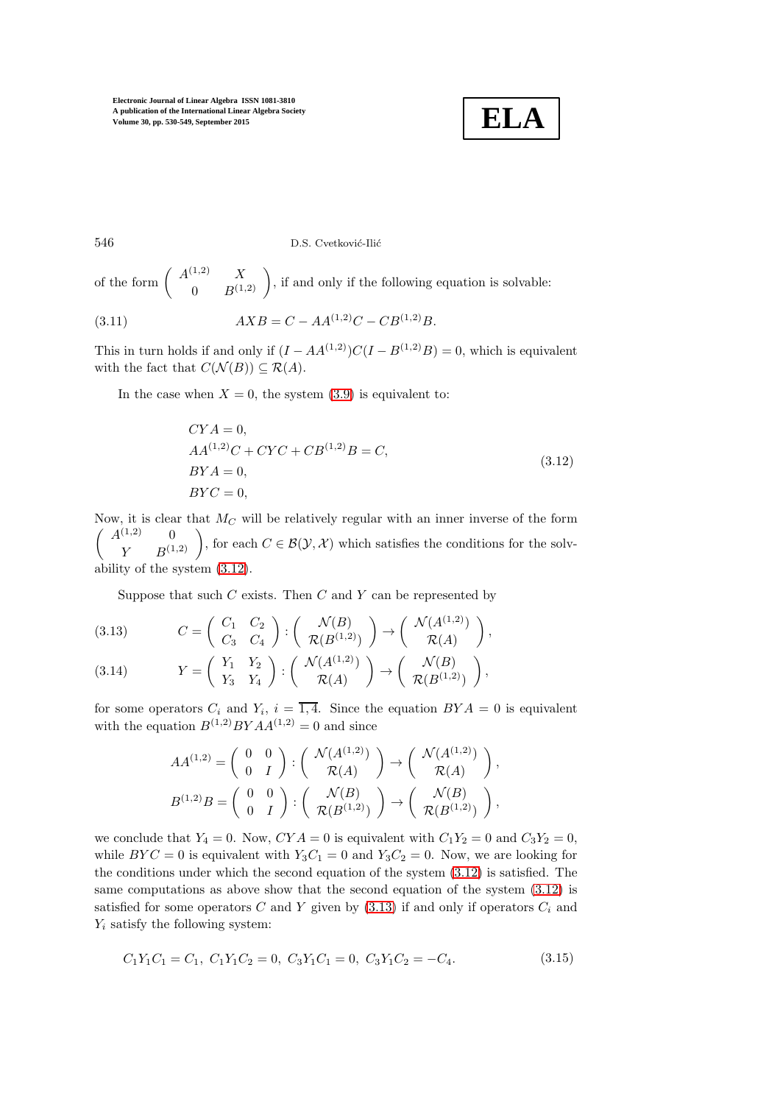<span id="page-16-0"></span>

546 D.S. Cvetković-Ilić

of the form  $\begin{pmatrix} A^{(1,2)} & X \\ 0 & B^{(1,2)} \end{pmatrix}$ , if and only if the following equation is solvable:

(3.11) 
$$
AXB = C - AA^{(1,2)}C - CB^{(1,2)}B.
$$

This in turn holds if and only if  $(I - AA^{(1,2)})C(I - B^{(1,2)}B) = 0$ , which is equivalent with the fact that  $C(\mathcal{N}(B)) \subseteq \mathcal{R}(A)$ .

In the case when  $X = 0$ , the system [\(3](#page-15-0).9) is equivalent to:

$$
CYA = 0,AA(1,2)C + CYC + CB(1,2)B = C,BYA = 0,BYC = 0,
$$
\n(3.12)

Now, it is clear that  $M_C$  will be relatively regular with an inner inverse of the form  $\begin{pmatrix} A^{(1,2)} & 0 \\ Y & B^{(1,2)} \end{pmatrix}$ , for each  $C \in \mathcal{B}(\mathcal{Y}, \mathcal{X})$  which satisfies the conditions for the solvability of the system (3.[12\)](#page-16-0).

<span id="page-16-1"></span>Suppose that such  $C$  exists. Then  $C$  and  $Y$  can be represented by

(3.13) 
$$
C = \begin{pmatrix} C_1 & C_2 \ C_3 & C_4 \end{pmatrix} : \begin{pmatrix} \mathcal{N}(B) \\ \mathcal{R}(B^{(1,2)}) \end{pmatrix} \rightarrow \begin{pmatrix} \mathcal{N}(A^{(1,2)}) \\ \mathcal{R}(A) \end{pmatrix},
$$

(3.14) 
$$
Y = \begin{pmatrix} Y_1 & Y_2 \ Y_3 & Y_4 \end{pmatrix} : \begin{pmatrix} \mathcal{N}(A^{(1,2)}) \\ \mathcal{R}(A) \end{pmatrix} \to \begin{pmatrix} \mathcal{N}(B) \\ \mathcal{R}(B^{(1,2)}) \end{pmatrix},
$$

for some operators  $C_i$  and  $Y_i$ ,  $i = \overline{1, 4}$ . Since the equation  $BYA = 0$  is equivalent with the equation  $B^{(1,2)}BYAA^{(1,2)} = 0$  and since

$$
AA^{(1,2)} = \begin{pmatrix} 0 & 0 \\ 0 & I \end{pmatrix} : \begin{pmatrix} \mathcal{N}(A^{(1,2)}) \\ \mathcal{R}(A) \end{pmatrix} \rightarrow \begin{pmatrix} \mathcal{N}(A^{(1,2)}) \\ \mathcal{R}(A) \end{pmatrix},
$$
  

$$
B^{(1,2)}B = \begin{pmatrix} 0 & 0 \\ 0 & I \end{pmatrix} : \begin{pmatrix} \mathcal{N}(B) \\ \mathcal{R}(B^{(1,2)}) \end{pmatrix} \rightarrow \begin{pmatrix} \mathcal{N}(B) \\ \mathcal{R}(B^{(1,2)}) \end{pmatrix},
$$

we conclude that  $Y_4 = 0$ . Now,  $CYA = 0$  is equivalent with  $C_1Y_2 = 0$  and  $C_3Y_2 = 0$ , while  $BYC = 0$  is equivalent with  $Y_3C_1 = 0$  and  $Y_3C_2 = 0$ . Now, we are looking for the conditions under which the second equation of the system (3.[12\)](#page-16-0) is satisfied. The same computations as above show that the second equation of the system (3.[12\)](#page-16-0) is satisfied for some operators  $C$  and  $Y$  given by  $(3.13)$  $(3.13)$  if and only if operators  $C_i$  and  $Y_i$  satisfy the following system:

<span id="page-16-2"></span>
$$
C_1Y_1C_1 = C_1, C_1Y_1C_2 = 0, C_3Y_1C_1 = 0, C_3Y_1C_2 = -C_4.
$$
\n(3.15)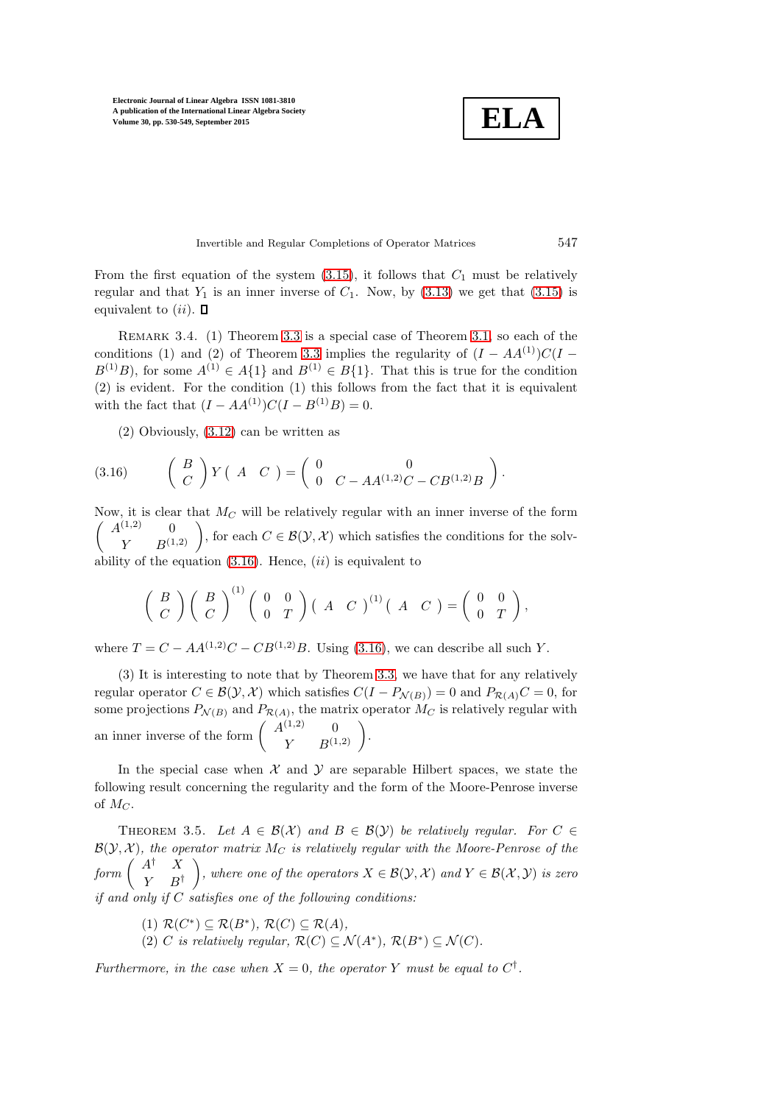**ELA**

Invertible and Regular Completions of Operator Matrices 547

From the first equation of the system  $(3.15)$  $(3.15)$ , it follows that  $C_1$  must be relatively regular and that  $Y_1$  is an inner inverse of  $C_1$ . Now, by  $(3.13)$  $(3.13)$  we get that  $(3.15)$  $(3.15)$  is equivalent to  $(ii)$ .  $\Box$ 

REMARK 3.4. (1) Theorem [3.3](#page-15-1) is a special case of Theorem [3.1,](#page-12-0) so each of the conditions (1) and (2) of Theorem [3.3](#page-15-1) implies the regularity of  $(I - AA^{(1)})C(I B^{(1)}B$ , for some  $A^{(1)} \in A\{1\}$  and  $B^{(1)} \in B\{1\}$ . That this is true for the condition (2) is evident. For the condition (1) this follows from the fact that it is equivalent with the fact that  $(I - AA^{(1)})C(I - B^{(1)}B) = 0.$ 

<span id="page-17-0"></span>(2) Obviously, (3.[12\)](#page-16-0) can be written as

(3.16) 
$$
\begin{pmatrix} B \\ C \end{pmatrix} Y \begin{pmatrix} A & C \end{pmatrix} = \begin{pmatrix} 0 & 0 \\ 0 & C - AA^{(1,2)}C - CB^{(1,2)}B \end{pmatrix}.
$$

Now, it is clear that  $M_C$  will be relatively regular with an inner inverse of the form  $\begin{pmatrix} A^{(1,2)} & 0 \\ Y & B^{(1,2)} \end{pmatrix}$ , for each  $C \in \mathcal{B}(\mathcal{Y}, \mathcal{X})$  which satisfies the conditions for the solvability of the equation  $(3.16)$  $(3.16)$ . Hence,  $(ii)$  is equivalent to

$$
\left(\begin{array}{c} B \\ C \end{array}\right)\left(\begin{array}{c} B \\ C \end{array}\right)^{(1)}\left(\begin{array}{cc} 0 & 0 \\ 0 & T \end{array}\right)\left(\begin{array}{cc} A & C \end{array}\right)^{(1)}\left(\begin{array}{cc} A & C \end{array}\right)=\left(\begin{array}{cc} 0 & 0 \\ 0 & T \end{array}\right),
$$

where  $T = C - AA^{(1,2)}C - CB^{(1,2)}B$ . Using (3.[16\)](#page-17-0), we can describe all such Y.

(3) It is interesting to note that by Theorem [3.3,](#page-15-1) we have that for any relatively regular operator  $C \in \mathcal{B}(\mathcal{Y}, \mathcal{X})$  which satisfies  $C(I - P_{\mathcal{N}(B)}) = 0$  and  $P_{\mathcal{R}(A)}C = 0$ , for some projections  $P_{\mathcal{N}(B)}$  and  $P_{\mathcal{R}(A)}$ , the matrix operator  $M_C$  is relatively regular with an inner inverse of the form  $\begin{pmatrix} A^{(1,2)} & 0 \\ Y & B^{(1,2)} \end{pmatrix}$ .

In the special case when  $X$  and  $Y$  are separable Hilbert spaces, we state the following result concerning the regularity and the form of the Moore-Penrose inverse of  $M_C$ .

THEOREM 3.5. Let  $A \in \mathcal{B}(\mathcal{X})$  and  $B \in \mathcal{B}(\mathcal{Y})$  be relatively regular. For  $C \in$  $\mathcal{B}(\mathcal{Y}, \mathcal{X})$ *, the operator matrix*  $M_C$  *is relatively regular with the Moore-Penrose of the*  $form\left(\begin{array}{cc} A^{\dagger} & X \\ V & P^{\dagger} \end{array}\right)$  $Y$   $B^{\dagger}$ *f*, where one of the operators  $X \in \mathcal{B}(\mathcal{Y}, \mathcal{X})$  and  $Y \in \mathcal{B}(\mathcal{X}, \mathcal{Y})$  is zero *if and only if* C *satisfies one of the following conditions:*

- $(1)$   $\mathcal{R}(C^*) \subseteq \mathcal{R}(B^*)$ ,  $\mathcal{R}(C) \subseteq \mathcal{R}(A)$ ,
- (2) C is relatively regular,  $\mathcal{R}(C) \subseteq \mathcal{N}(A^*)$ ,  $\mathcal{R}(B^*) \subseteq \mathcal{N}(C)$ .

*Furthermore, in the case when*  $X = 0$ *, the operator* Y *must be equal to*  $C^{\dagger}$ *.*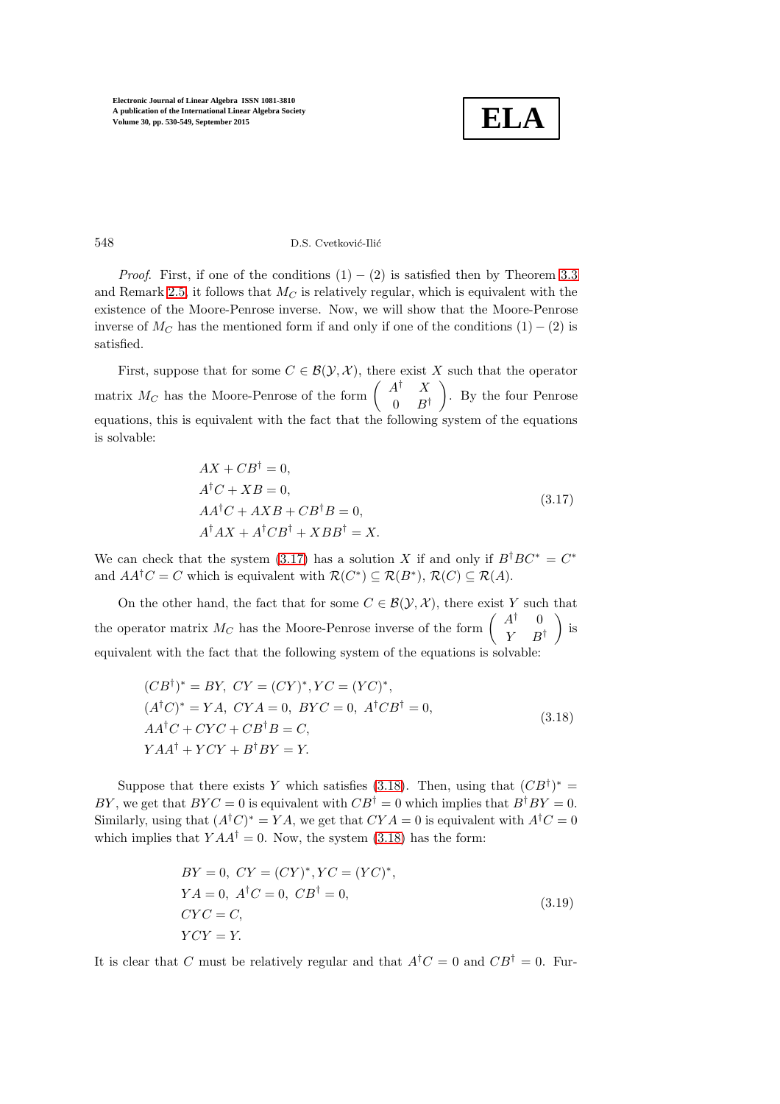

#### 548 D.S. Cvetković-Ilić

*Proof.* First, if one of the conditions  $(1) - (2)$  is satisfied then by Theorem [3.3](#page-15-1) and Remark [2.5,](#page-7-1) it follows that  $M_C$  is relatively regular, which is equivalent with the existence of the Moore-Penrose inverse. Now, we will show that the Moore-Penrose inverse of  $M_C$  has the mentioned form if and only if one of the conditions (1) – (2) is satisfied.

First, suppose that for some  $C \in \mathcal{B}(\mathcal{Y}, \mathcal{X})$ , there exist X such that the operator matrix  $M_C$  has the Moore-Penrose of the form  $\begin{pmatrix} A^{\dagger} & X \\ 0 & B \end{pmatrix}$  $0 \quad B^{\dagger}$  . By the four Penrose equations, this is equivalent with the fact that the following system of the equations is solvable:

<span id="page-18-0"></span>
$$
AX + CB^{\dagger} = 0,
$$
  
\n
$$
A^{\dagger}C + XB = 0,
$$
  
\n
$$
AA^{\dagger}C + AXB + CB^{\dagger}B = 0,
$$
  
\n
$$
A^{\dagger}AX + A^{\dagger}CB^{\dagger} + XBB^{\dagger} = X.
$$
\n(3.17)

We can check that the system (3.[17\)](#page-18-0) has a solution X if and only if  $B^{\dagger}BC^* = C^*$ and  $AA^{\dagger}C = C$  which is equivalent with  $\mathcal{R}(C^*) \subseteq \mathcal{R}(B^*)$ ,  $\mathcal{R}(C) \subseteq \mathcal{R}(A)$ .

On the other hand, the fact that for some  $C \in \mathcal{B}(\mathcal{Y}, \mathcal{X})$ , there exist Y such that the operator matrix  $M_C$  has the Moore-Penrose inverse of the form  $\begin{pmatrix} A^{\dagger} & 0 \\ V & D \end{pmatrix}$  $Y$   $B^{\dagger}$  $\big)$  is equivalent with the fact that the following system of the equations is solvable:

$$
(CB†)* = BY, CY = (CY)*, YC = (YC)*,(A†C)* = YA, CYA = 0, BYC = 0, A†CB† = 0,AA†C + CYC + CB†B = C,YAA† + YCY + B†BY = Y.
$$
\n(3.18)

Suppose that there exists Y which satisfies (3.[18\)](#page-18-1). Then, using that  $(CB^{\dagger})^* =$ BY, we get that  $BYC = 0$  is equivalent with  $CB^{\dagger} = 0$  which implies that  $B^{\dagger}BY = 0$ . Similarly, using that  $(A^{\dagger}C)^* = YA$ , we get that  $CYA = 0$  is equivalent with  $A^{\dagger}C = 0$ which implies that  $YAA^{\dagger} = 0$ . Now, the system (3.[18\)](#page-18-1) has the form:

<span id="page-18-2"></span><span id="page-18-1"></span>
$$
BY = 0, CY = (CY)^*, YC = (YC)^*,
$$
  
\n
$$
YA = 0, A^{\dagger}C = 0, CB^{\dagger} = 0,
$$
  
\n
$$
CYC = C,
$$
  
\n
$$
YCY = Y.
$$
  
\n(3.19)

It is clear that C must be relatively regular and that  $A^{\dagger}C = 0$  and  $CB^{\dagger} = 0$ . Fur-